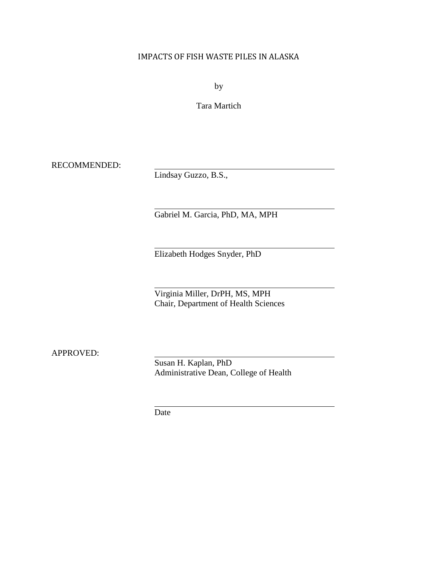## IMPACTS OF FISH WASTE PILES IN ALASKA

by

Tara Martich

RECOMMENDED:

Lindsay Guzzo, B.S.,

Gabriel M. Garcia, PhD, MA, MPH

Elizabeth Hodges Snyder, PhD

Virginia Miller, DrPH, MS, MPH Chair, Department of Health Sciences

APPROVED:

Susan H. Kaplan, PhD Administrative Dean, College of Health

Date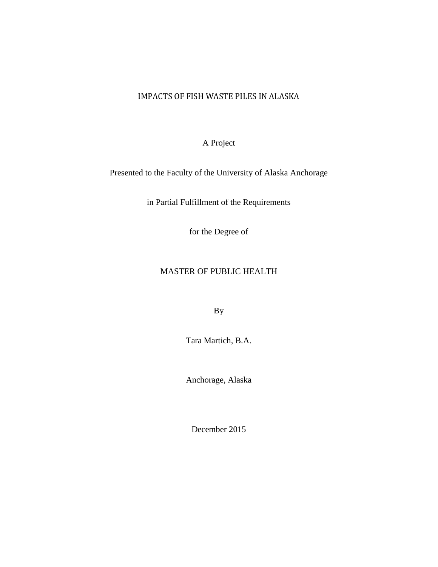## IMPACTS OF FISH WASTE PILES IN ALASKA

A Project

Presented to the Faculty of the University of Alaska Anchorage

in Partial Fulfillment of the Requirements

for the Degree of

### MASTER OF PUBLIC HEALTH

By

Tara Martich, B.A.

Anchorage, Alaska

December 2015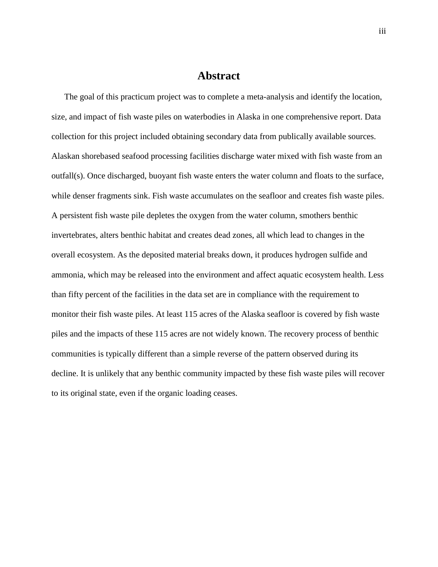## **Abstract**

The goal of this practicum project was to complete a meta-analysis and identify the location, size, and impact of fish waste piles on waterbodies in Alaska in one comprehensive report. Data collection for this project included obtaining secondary data from publically available sources. Alaskan shorebased seafood processing facilities discharge water mixed with fish waste from an outfall(s). Once discharged, buoyant fish waste enters the water column and floats to the surface, while denser fragments sink. Fish waste accumulates on the seafloor and creates fish waste piles. A persistent fish waste pile depletes the oxygen from the water column, smothers benthic invertebrates, alters benthic habitat and creates dead zones, all which lead to changes in the overall ecosystem. As the deposited material breaks down, it produces hydrogen sulfide and ammonia, which may be released into the environment and affect aquatic ecosystem health. Less than fifty percent of the facilities in the data set are in compliance with the requirement to monitor their fish waste piles. At least 115 acres of the Alaska seafloor is covered by fish waste piles and the impacts of these 115 acres are not widely known. The recovery process of benthic communities is typically different than a simple reverse of the pattern observed during its decline. It is unlikely that any benthic community impacted by these fish waste piles will recover to its original state, even if the organic loading ceases.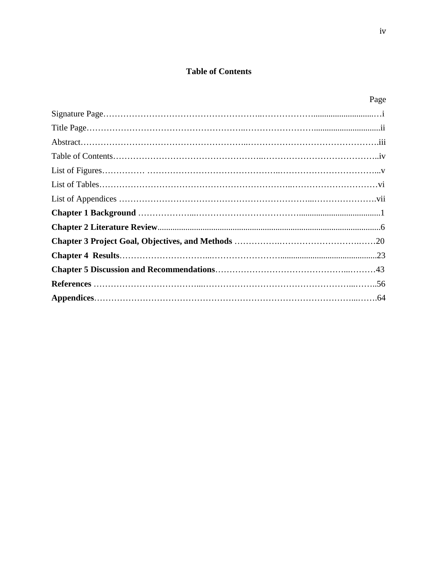## **Table of Contents**

| Page |
|------|
|      |
|      |
|      |
|      |
|      |
|      |
|      |
|      |
|      |
|      |
|      |
|      |
|      |
|      |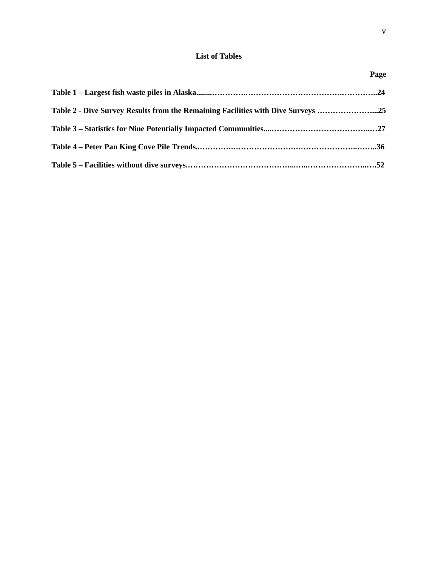### **List of Tables**

| Table 2 - Dive Survey Results from the Remaining Facilities with Dive Surveys 25 |  |
|----------------------------------------------------------------------------------|--|
|                                                                                  |  |
|                                                                                  |  |
|                                                                                  |  |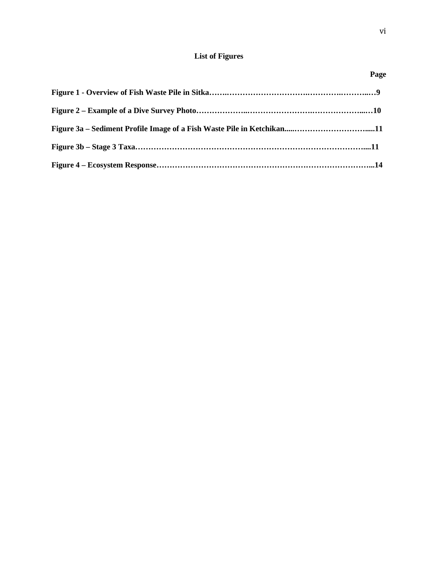## **List of Figures**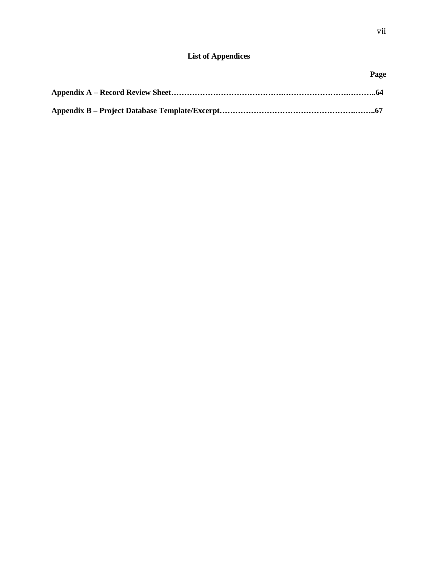## **List of Appendices**

| Page |
|------|
|      |
|      |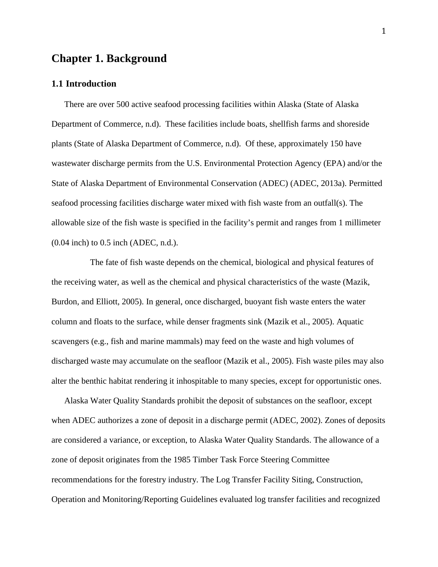# **Chapter 1. Background**

#### **1.1 Introduction**

There are over 500 active seafood processing facilities within Alaska (State of Alaska Department of Commerce, n.d). These facilities include boats, shellfish farms and shoreside plants (State of Alaska Department of Commerce, n.d). Of these, approximately 150 have wastewater discharge permits from the U.S. Environmental Protection Agency (EPA) and/or the State of Alaska Department of Environmental Conservation (ADEC) (ADEC, 2013a). Permitted seafood processing facilities discharge water mixed with fish waste from an outfall(s). The allowable size of the fish waste is specified in the facility's permit and ranges from 1 millimeter (0.04 inch) to 0.5 inch (ADEC, n.d.).

The fate of fish waste depends on the chemical, biological and physical features of the receiving water, as well as the chemical and physical characteristics of the waste (Mazik, Burdon, and Elliott, 2005). In general, once discharged, buoyant fish waste enters the water column and floats to the surface, while denser fragments sink (Mazik et al., 2005). Aquatic scavengers (e.g., fish and marine mammals) may feed on the waste and high volumes of discharged waste may accumulate on the seafloor (Mazik et al., 2005). Fish waste piles may also alter the benthic habitat rendering it inhospitable to many species, except for opportunistic ones.

Alaska Water Quality Standards prohibit the deposit of substances on the seafloor, except when ADEC authorizes a zone of deposit in a discharge permit (ADEC, 2002). Zones of deposits are considered a variance, or exception, to Alaska Water Quality Standards. The allowance of a zone of deposit originates from the 1985 Timber Task Force Steering Committee recommendations for the forestry industry. The Log Transfer Facility Siting, Construction, Operation and Monitoring/Reporting Guidelines evaluated log transfer facilities and recognized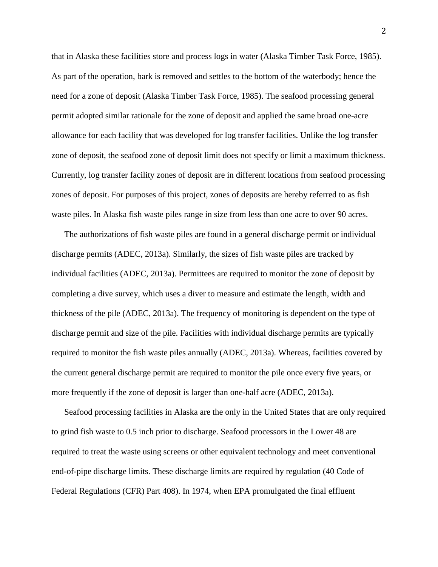that in Alaska these facilities store and process logs in water (Alaska Timber Task Force, 1985). As part of the operation, bark is removed and settles to the bottom of the waterbody; hence the need for a zone of deposit (Alaska Timber Task Force, 1985). The seafood processing general permit adopted similar rationale for the zone of deposit and applied the same broad one-acre allowance for each facility that was developed for log transfer facilities. Unlike the log transfer zone of deposit, the seafood zone of deposit limit does not specify or limit a maximum thickness. Currently, log transfer facility zones of deposit are in different locations from seafood processing zones of deposit. For purposes of this project, zones of deposits are hereby referred to as fish waste piles. In Alaska fish waste piles range in size from less than one acre to over 90 acres.

The authorizations of fish waste piles are found in a general discharge permit or individual discharge permits (ADEC, 2013a). Similarly, the sizes of fish waste piles are tracked by individual facilities (ADEC, 2013a). Permittees are required to monitor the zone of deposit by completing a dive survey, which uses a diver to measure and estimate the length, width and thickness of the pile (ADEC, 2013a). The frequency of monitoring is dependent on the type of discharge permit and size of the pile. Facilities with individual discharge permits are typically required to monitor the fish waste piles annually (ADEC, 2013a). Whereas, facilities covered by the current general discharge permit are required to monitor the pile once every five years, or more frequently if the zone of deposit is larger than one-half acre (ADEC, 2013a).

Seafood processing facilities in Alaska are the only in the United States that are only required to grind fish waste to 0.5 inch prior to discharge. Seafood processors in the Lower 48 are required to treat the waste using screens or other equivalent technology and meet conventional end-of-pipe discharge limits. These discharge limits are required by regulation (40 Code of Federal Regulations (CFR) Part 408). In 1974, when EPA promulgated the final effluent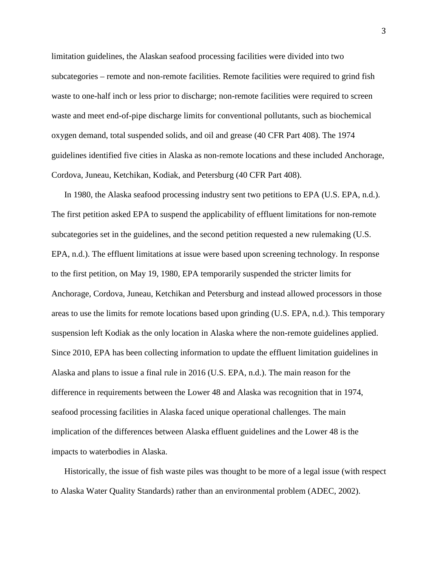limitation guidelines, the Alaskan seafood processing facilities were divided into two subcategories – remote and non-remote facilities. Remote facilities were required to grind fish waste to one-half inch or less prior to discharge; non-remote facilities were required to screen waste and meet end-of-pipe discharge limits for conventional pollutants, such as biochemical oxygen demand, total suspended solids, and oil and grease (40 CFR Part 408). The 1974 guidelines identified five cities in Alaska as non-remote locations and these included Anchorage, Cordova, Juneau, Ketchikan, Kodiak, and Petersburg (40 CFR Part 408).

In 1980, the Alaska seafood processing industry sent two petitions to EPA (U.S. EPA, n.d.). The first petition asked EPA to suspend the applicability of effluent limitations for non-remote subcategories set in the guidelines, and the second petition requested a new rulemaking (U.S. EPA, n.d.). The effluent limitations at issue were based upon screening technology. In response to the first petition, on May 19, 1980, EPA temporarily suspended the stricter limits for Anchorage, Cordova, Juneau, Ketchikan and Petersburg and instead allowed processors in those areas to use the limits for remote locations based upon grinding (U.S. EPA, n.d.). This temporary suspension left Kodiak as the only location in Alaska where the non-remote guidelines applied. Since 2010, EPA has been collecting information to update the effluent limitation guidelines in Alaska and plans to issue a final rule in 2016 (U.S. EPA, n.d.). The main reason for the difference in requirements between the Lower 48 and Alaska was recognition that in 1974, seafood processing facilities in Alaska faced unique operational challenges. The main implication of the differences between Alaska effluent guidelines and the Lower 48 is the impacts to waterbodies in Alaska.

Historically, the issue of fish waste piles was thought to be more of a legal issue (with respect to Alaska Water Quality Standards) rather than an environmental problem (ADEC, 2002).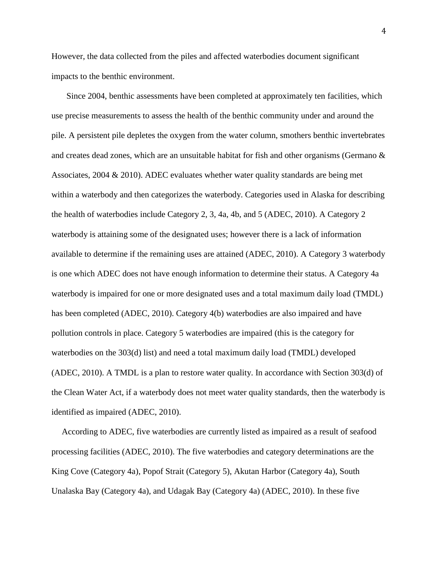However, the data collected from the piles and affected waterbodies document significant impacts to the benthic environment.

Since 2004, benthic assessments have been completed at approximately ten facilities, which use precise measurements to assess the health of the benthic community under and around the pile. A persistent pile depletes the oxygen from the water column, smothers benthic invertebrates and creates dead zones, which are an unsuitable habitat for fish and other organisms (Germano & Associates, 2004 & 2010). ADEC evaluates whether water quality standards are being met within a waterbody and then categorizes the waterbody. Categories used in Alaska for describing the health of waterbodies include Category 2, 3, 4a, 4b, and 5 (ADEC, 2010). A Category 2 waterbody is attaining some of the designated uses; however there is a lack of information available to determine if the remaining uses are attained (ADEC, 2010). A Category 3 waterbody is one which ADEC does not have enough information to determine their status. A Category 4a waterbody is impaired for one or more designated uses and a total maximum daily load (TMDL) has been completed (ADEC, 2010). Category 4(b) waterbodies are also impaired and have pollution controls in place. Category 5 waterbodies are impaired (this is the category for waterbodies on the 303(d) list) and need a total maximum daily load (TMDL) developed (ADEC, 2010). A TMDL is a plan to restore water quality. In accordance with Section 303(d) of the Clean Water Act, if a waterbody does not meet water quality standards, then the waterbody is identified as impaired (ADEC, 2010).

According to ADEC, five waterbodies are currently listed as impaired as a result of seafood processing facilities (ADEC, 2010). The five waterbodies and category determinations are the King Cove (Category 4a), Popof Strait (Category 5), Akutan Harbor (Category 4a), South Unalaska Bay (Category 4a), and Udagak Bay (Category 4a) (ADEC, 2010). In these five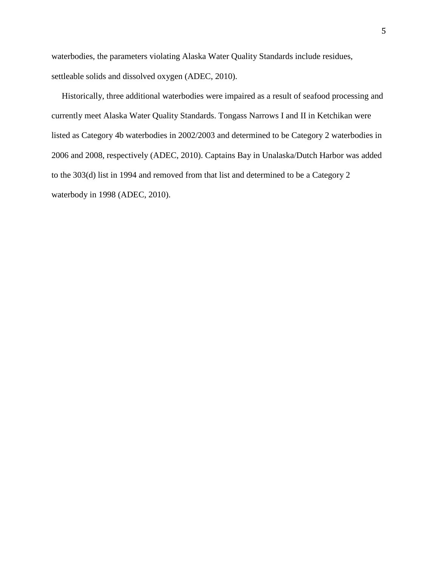waterbodies, the parameters violating Alaska Water Quality Standards include residues, settleable solids and dissolved oxygen (ADEC, 2010).

Historically, three additional waterbodies were impaired as a result of seafood processing and currently meet Alaska Water Quality Standards. Tongass Narrows I and II in Ketchikan were listed as Category 4b waterbodies in 2002/2003 and determined to be Category 2 waterbodies in 2006 and 2008, respectively (ADEC, 2010). Captains Bay in Unalaska/Dutch Harbor was added to the 303(d) list in 1994 and removed from that list and determined to be a Category 2 waterbody in 1998 (ADEC, 2010).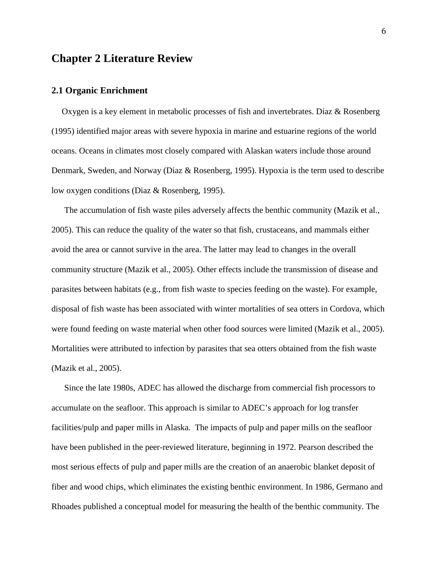# **Chapter 2 Literature Review**

#### **2.1 Organic Enrichment**

Oxygen is a key element in metabolic processes of fish and invertebrates. Diaz & Rosenberg (1995) identified major areas with severe hypoxia in marine and estuarine regions of the world oceans. Oceans in climates most closely compared with Alaskan waters include those around Denmark, Sweden, and Norway (Diaz & Rosenberg, 1995). Hypoxia is the term used to describe low oxygen conditions (Diaz & Rosenberg, 1995).

The accumulation of fish waste piles adversely affects the benthic community (Mazik et al., 2005). This can reduce the quality of the water so that fish, crustaceans, and mammals either avoid the area or cannot survive in the area. The latter may lead to changes in the overall community structure (Mazik et al., 2005). Other effects include the transmission of disease and parasites between habitats (e.g., from fish waste to species feeding on the waste). For example, disposal of fish waste has been associated with winter mortalities of sea otters in Cordova, which were found feeding on waste material when other food sources were limited (Mazik et al., 2005). Mortalities were attributed to infection by parasites that sea otters obtained from the fish waste (Mazik et al., 2005).

Since the late 1980s, ADEC has allowed the discharge from commercial fish processors to accumulate on the seafloor. This approach is similar to ADEC's approach for log transfer facilities/pulp and paper mills in Alaska. The impacts of pulp and paper mills on the seafloor have been published in the peer-reviewed literature, beginning in 1972. Pearson described the most serious effects of pulp and paper mills are the creation of an anaerobic blanket deposit of fiber and wood chips, which eliminates the existing benthic environment. In 1986, Germano and Rhoades published a conceptual model for measuring the health of the benthic community. The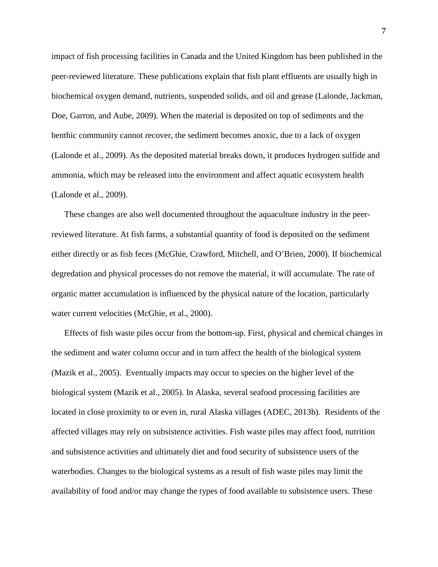impact of fish processing facilities in Canada and the United Kingdom has been published in the peer-reviewed literature. These publications explain that fish plant effluents are usually high in biochemical oxygen demand, nutrients, suspended solids, and oil and grease (Lalonde, Jackman, Doe, Garron, and Aube, 2009). When the material is deposited on top of sediments and the benthic community cannot recover, the sediment becomes anoxic, due to a lack of oxygen (Lalonde et al., 2009). As the deposited material breaks down, it produces hydrogen sulfide and ammonia, which may be released into the environment and affect aquatic ecosystem health (Lalonde et al., 2009).

These changes are also well documented throughout the aquaculture industry in the peerreviewed literature. At fish farms, a substantial quantity of food is deposited on the sediment either directly or as fish feces (McGhie, Crawford, Mitchell, and O'Brien, 2000). If biochemical degredation and physical processes do not remove the material, it will accumulate. The rate of organic matter accumulation is influenced by the physical nature of the location, particularly water current velocities (McGhie, et al., 2000).

Effects of fish waste piles occur from the bottom-up. First, physical and chemical changes in the sediment and water column occur and in turn affect the health of the biological system (Mazik et al., 2005). Eventually impacts may occur to species on the higher level of the biological system (Mazik et al., 2005). In Alaska, several seafood processing facilities are located in close proximity to or even in, rural Alaska villages (ADEC, 2013b). Residents of the affected villages may rely on subsistence activities. Fish waste piles may affect food, nutrition and subsistence activities and ultimately diet and food security of subsistence users of the waterbodies. Changes to the biological systems as a result of fish waste piles may limit the availability of food and/or may change the types of food available to subsistence users. These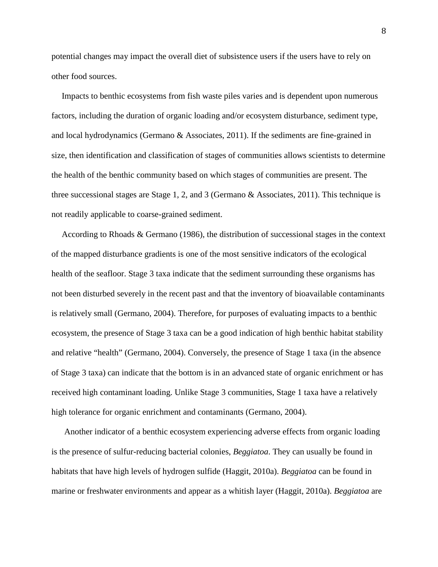potential changes may impact the overall diet of subsistence users if the users have to rely on other food sources.

Impacts to benthic ecosystems from fish waste piles varies and is dependent upon numerous factors, including the duration of organic loading and/or ecosystem disturbance, sediment type, and local hydrodynamics (Germano & Associates, 2011). If the sediments are fine-grained in size, then identification and classification of stages of communities allows scientists to determine the health of the benthic community based on which stages of communities are present. The three successional stages are Stage 1, 2, and 3 (Germano & Associates, 2011). This technique is not readily applicable to coarse-grained sediment.

According to Rhoads & Germano (1986), the distribution of successional stages in the context of the mapped disturbance gradients is one of the most sensitive indicators of the ecological health of the seafloor. Stage 3 taxa indicate that the sediment surrounding these organisms has not been disturbed severely in the recent past and that the inventory of bioavailable contaminants is relatively small (Germano, 2004). Therefore, for purposes of evaluating impacts to a benthic ecosystem, the presence of Stage 3 taxa can be a good indication of high benthic habitat stability and relative "health" (Germano, 2004). Conversely, the presence of Stage 1 taxa (in the absence of Stage 3 taxa) can indicate that the bottom is in an advanced state of organic enrichment or has received high contaminant loading. Unlike Stage 3 communities, Stage 1 taxa have a relatively high tolerance for organic enrichment and contaminants (Germano, 2004).

Another indicator of a benthic ecosystem experiencing adverse effects from organic loading is the presence of sulfur-reducing bacterial colonies, *Beggiatoa*. They can usually be found in habitats that have high levels of hydrogen sulfide (Haggit, 2010a). *Beggiatoa* can be found in marine or freshwater environments and appear as a whitish layer (Haggit, 2010a). *Beggiatoa* are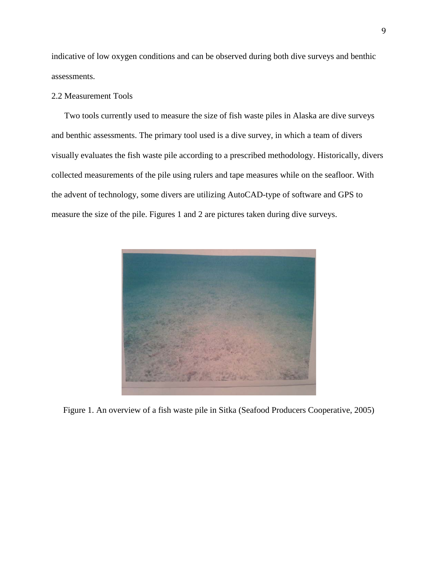indicative of low oxygen conditions and can be observed during both dive surveys and benthic assessments.

### 2.2 Measurement Tools

Two tools currently used to measure the size of fish waste piles in Alaska are dive surveys and benthic assessments. The primary tool used is a dive survey, in which a team of divers visually evaluates the fish waste pile according to a prescribed methodology. Historically, divers collected measurements of the pile using rulers and tape measures while on the seafloor. With the advent of technology, some divers are utilizing AutoCAD-type of software and GPS to measure the size of the pile. Figures 1 and 2 are pictures taken during dive surveys.



Figure 1. An overview of a fish waste pile in Sitka (Seafood Producers Cooperative, 2005)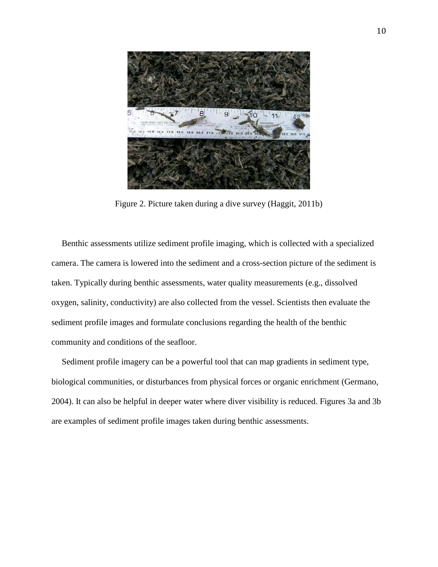

Figure 2. Picture taken during a dive survey (Haggit, 2011b)

Benthic assessments utilize sediment profile imaging, which is collected with a specialized camera. The camera is lowered into the sediment and a cross-section picture of the sediment is taken. Typically during benthic assessments, water quality measurements (e.g., dissolved oxygen, salinity, conductivity) are also collected from the vessel. Scientists then evaluate the sediment profile images and formulate conclusions regarding the health of the benthic community and conditions of the seafloor.

Sediment profile imagery can be a powerful tool that can map gradients in sediment type, biological communities, or disturbances from physical forces or organic enrichment (Germano, 2004). It can also be helpful in deeper water where diver visibility is reduced. Figures 3a and 3b are examples of sediment profile images taken during benthic assessments.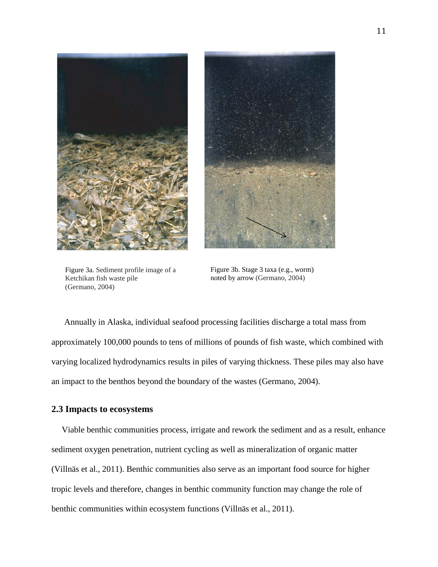



Figure 3a. Sediment profile image of a Ketchikan fish waste pile (Germano, 2004)

Figure 3b. Stage 3 taxa (e.g., worm) noted by arrow (Germano, 2004)

Annually in Alaska, individual seafood processing facilities discharge a total mass from approximately 100,000 pounds to tens of millions of pounds of fish waste, which combined with varying localized hydrodynamics results in piles of varying thickness. These piles may also have an impact to the benthos beyond the boundary of the wastes (Germano, 2004).

### **2.3 Impacts to ecosystems**

Viable benthic communities process, irrigate and rework the sediment and as a result, enhance sediment oxygen penetration, nutrient cycling as well as mineralization of organic matter (Villnäs et al., 2011). Benthic communities also serve as an important food source for higher tropic levels and therefore, changes in benthic community function may change the role of benthic communities within ecosystem functions (Villnäs et al., 2011).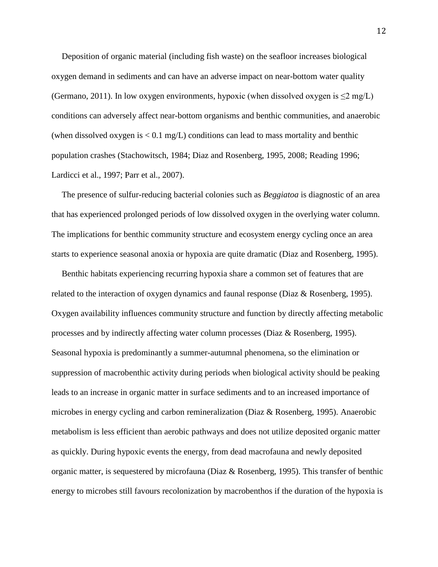Deposition of organic material (including fish waste) on the seafloor increases biological oxygen demand in sediments and can have an adverse impact on near-bottom water quality (Germano, 2011). In low oxygen environments, hypoxic (when dissolved oxygen is  $\leq 2$  mg/L) conditions can adversely affect near-bottom organisms and benthic communities, and anaerobic (when dissolved oxygen is  $\langle 0.1 \text{ mg/L} \rangle$  conditions can lead to mass mortality and benthic population crashes (Stachowitsch, 1984; Diaz and Rosenberg, 1995, 2008; Reading 1996; Lardicci et al., 1997; Parr et al., 2007).

The presence of sulfur-reducing bacterial colonies such as *Beggiatoa* is diagnostic of an area that has experienced prolonged periods of low dissolved oxygen in the overlying water column. The implications for benthic community structure and ecosystem energy cycling once an area starts to experience seasonal anoxia or hypoxia are quite dramatic (Diaz and Rosenberg, 1995).

Benthic habitats experiencing recurring hypoxia share a common set of features that are related to the interaction of oxygen dynamics and faunal response (Diaz & Rosenberg, 1995). Oxygen availability influences community structure and function by directly affecting metabolic processes and by indirectly affecting water column processes (Diaz & Rosenberg, 1995). Seasonal hypoxia is predominantly a summer-autumnal phenomena, so the elimination or suppression of macrobenthic activity during periods when biological activity should be peaking leads to an increase in organic matter in surface sediments and to an increased importance of microbes in energy cycling and carbon remineralization (Diaz & Rosenberg, 1995). Anaerobic metabolism is less efficient than aerobic pathways and does not utilize deposited organic matter as quickly. During hypoxic events the energy, from dead macrofauna and newly deposited organic matter, is sequestered by microfauna (Diaz & Rosenberg, 1995). This transfer of benthic energy to microbes still favours recolonization by macrobenthos if the duration of the hypoxia is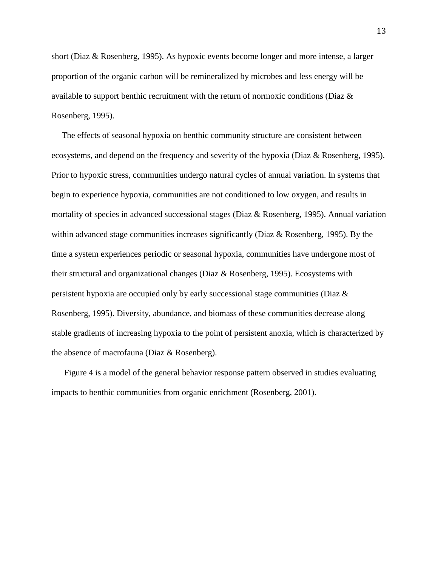short (Diaz & Rosenberg, 1995). As hypoxic events become longer and more intense, a larger proportion of the organic carbon will be remineralized by microbes and less energy will be available to support benthic recruitment with the return of normoxic conditions (Diaz & Rosenberg, 1995).

The effects of seasonal hypoxia on benthic community structure are consistent between ecosystems, and depend on the frequency and severity of the hypoxia (Diaz & Rosenberg, 1995). Prior to hypoxic stress, communities undergo natural cycles of annual variation. In systems that begin to experience hypoxia, communities are not conditioned to low oxygen, and results in mortality of species in advanced successional stages (Diaz & Rosenberg, 1995). Annual variation within advanced stage communities increases significantly (Diaz & Rosenberg, 1995). By the time a system experiences periodic or seasonal hypoxia, communities have undergone most of their structural and organizational changes (Diaz & Rosenberg, 1995). Ecosystems with persistent hypoxia are occupied only by early successional stage communities (Diaz & Rosenberg, 1995). Diversity, abundance, and biomass of these communities decrease along stable gradients of increasing hypoxia to the point of persistent anoxia, which is characterized by the absence of macrofauna (Diaz & Rosenberg).

Figure 4 is a model of the general behavior response pattern observed in studies evaluating impacts to benthic communities from organic enrichment (Rosenberg, 2001).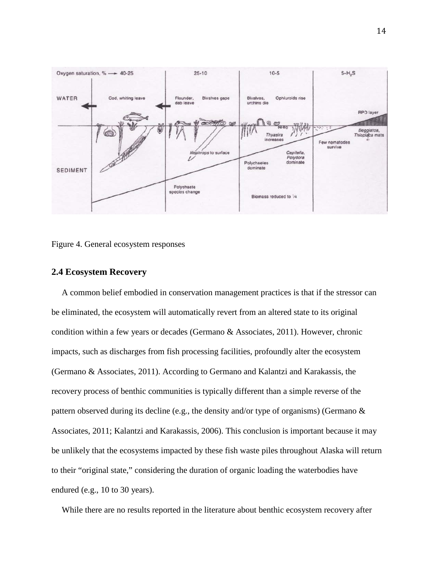



#### **2.4 Ecosystem Recovery**

A common belief embodied in conservation management practices is that if the stressor can be eliminated, the ecosystem will automatically revert from an altered state to its original condition within a few years or decades (Germano & Associates, 2011). However, chronic impacts, such as discharges from fish processing facilities, profoundly alter the ecosystem (Germano & Associates, 2011). According to Germano and Kalantzi and Karakassis, the recovery process of benthic communities is typically different than a simple reverse of the pattern observed during its decline (e.g., the density and/or type of organisms) (Germano  $\&$ Associates, 2011; Kalantzi and Karakassis, 2006). This conclusion is important because it may be unlikely that the ecosystems impacted by these fish waste piles throughout Alaska will return to their "original state," considering the duration of organic loading the waterbodies have endured (e.g., 10 to 30 years).

While there are no results reported in the literature about benthic ecosystem recovery after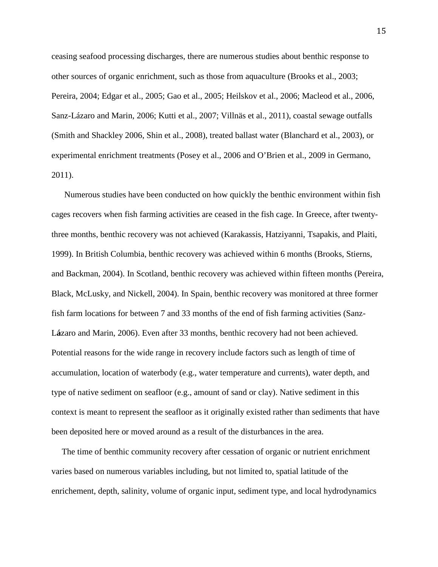ceasing seafood processing discharges, there are numerous studies about benthic response to other sources of organic enrichment, such as those from aquaculture (Brooks et al., 2003; Pereira, 2004; Edgar et al., 2005; Gao et al., 2005; Heilskov et al., 2006; Macleod et al., 2006, Sanz-Lázaro and Marin, 2006; Kutti et al., 2007; Villnäs et al., 2011), coastal sewage outfalls (Smith and Shackley 2006, Shin et al., 2008), treated ballast water (Blanchard et al., 2003), or experimental enrichment treatments (Posey et al., 2006 and O'Brien et al., 2009 in Germano, 2011).

Numerous studies have been conducted on how quickly the benthic environment within fish cages recovers when fish farming activities are ceased in the fish cage. In Greece, after twentythree months, benthic recovery was not achieved (Karakassis, Hatziyanni, Tsapakis, and Plaiti, 1999). In British Columbia, benthic recovery was achieved within 6 months (Brooks, Stierns, and Backman, 2004). In Scotland, benthic recovery was achieved within fifteen months (Pereira, Black, McLusky, and Nickell, 2004). In Spain, benthic recovery was monitored at three former fish farm locations for between 7 and 33 months of the end of fish farming activities (Sanz-L**á**zaro and Marin, 2006). Even after 33 months, benthic recovery had not been achieved. Potential reasons for the wide range in recovery include factors such as length of time of accumulation, location of waterbody (e.g., water temperature and currents), water depth, and type of native sediment on seafloor (e.g., amount of sand or clay). Native sediment in this context is meant to represent the seafloor as it originally existed rather than sediments that have been deposited here or moved around as a result of the disturbances in the area.

The time of benthic community recovery after cessation of organic or nutrient enrichment varies based on numerous variables including, but not limited to, spatial latitude of the enrichement, depth, salinity, volume of organic input, sediment type, and local hydrodynamics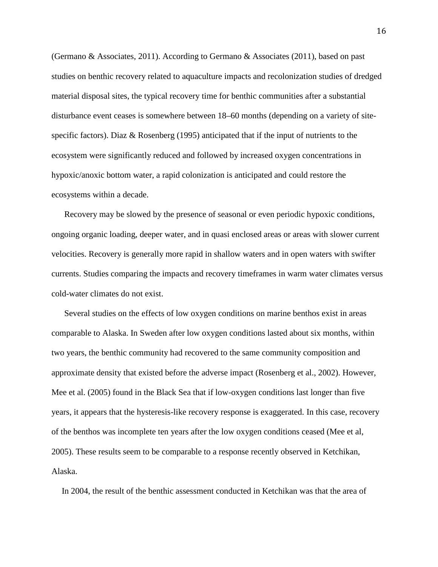(Germano & Associates, 2011). According to Germano & Associates (2011), based on past studies on benthic recovery related to aquaculture impacts and recolonization studies of dredged material disposal sites, the typical recovery time for benthic communities after a substantial disturbance event ceases is somewhere between 18–60 months (depending on a variety of sitespecific factors). Diaz & Rosenberg (1995) anticipated that if the input of nutrients to the ecosystem were significantly reduced and followed by increased oxygen concentrations in hypoxic/anoxic bottom water, a rapid colonization is anticipated and could restore the ecosystems within a decade.

Recovery may be slowed by the presence of seasonal or even periodic hypoxic conditions, ongoing organic loading, deeper water, and in quasi enclosed areas or areas with slower current velocities. Recovery is generally more rapid in shallow waters and in open waters with swifter currents. Studies comparing the impacts and recovery timeframes in warm water climates versus cold-water climates do not exist.

Several studies on the effects of low oxygen conditions on marine benthos exist in areas comparable to Alaska. In Sweden after low oxygen conditions lasted about six months, within two years, the benthic community had recovered to the same community composition and approximate density that existed before the adverse impact (Rosenberg et al., 2002). However, Mee et al. (2005) found in the Black Sea that if low-oxygen conditions last longer than five years, it appears that the hysteresis-like recovery response is exaggerated. In this case, recovery of the benthos was incomplete ten years after the low oxygen conditions ceased (Mee et al, 2005). These results seem to be comparable to a response recently observed in Ketchikan, Alaska.

In 2004, the result of the benthic assessment conducted in Ketchikan was that the area of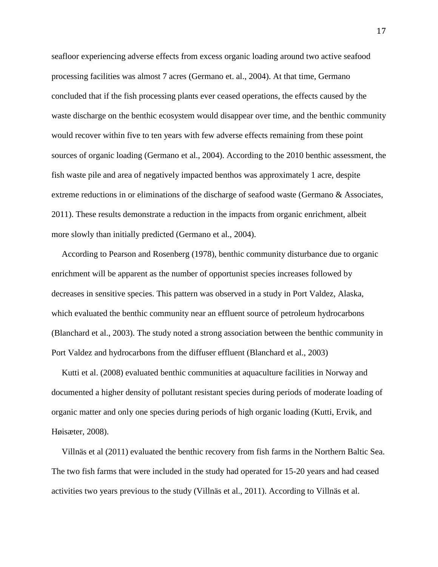seafloor experiencing adverse effects from excess organic loading around two active seafood processing facilities was almost 7 acres (Germano et. al., 2004). At that time, Germano concluded that if the fish processing plants ever ceased operations, the effects caused by the waste discharge on the benthic ecosystem would disappear over time, and the benthic community would recover within five to ten years with few adverse effects remaining from these point sources of organic loading (Germano et al., 2004). According to the 2010 benthic assessment, the fish waste pile and area of negatively impacted benthos was approximately 1 acre, despite extreme reductions in or eliminations of the discharge of seafood waste (Germano & Associates, 2011). These results demonstrate a reduction in the impacts from organic enrichment, albeit more slowly than initially predicted (Germano et al., 2004).

According to Pearson and Rosenberg (1978), benthic community disturbance due to organic enrichment will be apparent as the number of opportunist species increases followed by decreases in sensitive species. This pattern was observed in a study in Port Valdez, Alaska, which evaluated the benthic community near an effluent source of petroleum hydrocarbons (Blanchard et al., 2003). The study noted a strong association between the benthic community in Port Valdez and hydrocarbons from the diffuser effluent (Blanchard et al., 2003)

Kutti et al. (2008) evaluated benthic communities at aquaculture facilities in Norway and documented a higher density of pollutant resistant species during periods of moderate loading of organic matter and only one species during periods of high organic loading (Kutti, Ervik, and Høisæter, 2008).

Villnäs et al (2011) evaluated the benthic recovery from fish farms in the Northern Baltic Sea. The two fish farms that were included in the study had operated for 15-20 years and had ceased activities two years previous to the study (Villnäs et al., 2011). According to Villnäs et al.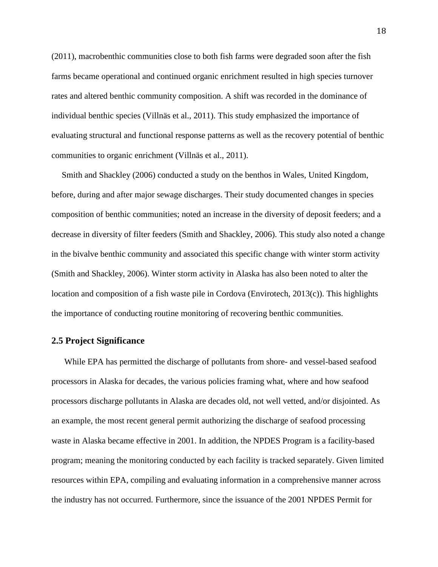(2011), macrobenthic communities close to both fish farms were degraded soon after the fish farms became operational and continued organic enrichment resulted in high species turnover rates and altered benthic community composition. A shift was recorded in the dominance of individual benthic species (Villnäs et al., 2011). This study emphasized the importance of evaluating structural and functional response patterns as well as the recovery potential of benthic communities to organic enrichment (Villnäs et al., 2011).

Smith and Shackley (2006) conducted a study on the benthos in Wales, United Kingdom, before, during and after major sewage discharges. Their study documented changes in species composition of benthic communities; noted an increase in the diversity of deposit feeders; and a decrease in diversity of filter feeders (Smith and Shackley, 2006). This study also noted a change in the bivalve benthic community and associated this specific change with winter storm activity (Smith and Shackley, 2006). Winter storm activity in Alaska has also been noted to alter the location and composition of a fish waste pile in Cordova (Envirotech, 2013(c)). This highlights the importance of conducting routine monitoring of recovering benthic communities.

#### **2.5 Project Significance**

While EPA has permitted the discharge of pollutants from shore- and vessel-based seafood processors in Alaska for decades, the various policies framing what, where and how seafood processors discharge pollutants in Alaska are decades old, not well vetted, and/or disjointed. As an example, the most recent general permit authorizing the discharge of seafood processing waste in Alaska became effective in 2001. In addition, the NPDES Program is a facility-based program; meaning the monitoring conducted by each facility is tracked separately. Given limited resources within EPA, compiling and evaluating information in a comprehensive manner across the industry has not occurred. Furthermore, since the issuance of the 2001 NPDES Permit for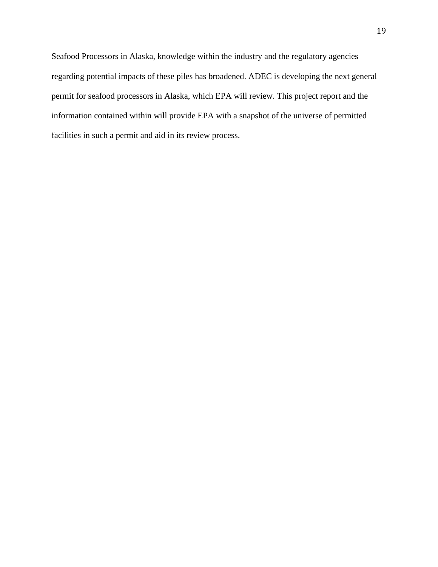Seafood Processors in Alaska, knowledge within the industry and the regulatory agencies regarding potential impacts of these piles has broadened. ADEC is developing the next general permit for seafood processors in Alaska, which EPA will review. This project report and the information contained within will provide EPA with a snapshot of the universe of permitted facilities in such a permit and aid in its review process.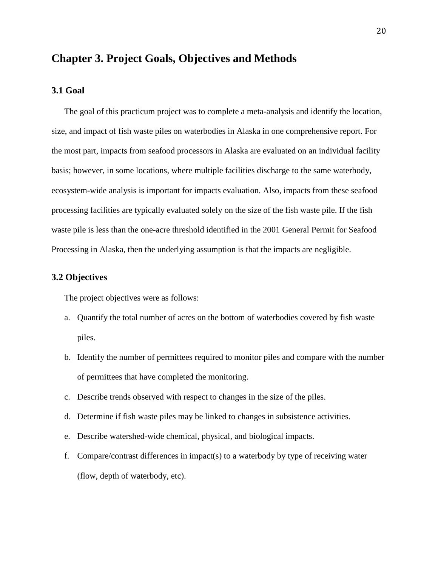# **Chapter 3. Project Goals, Objectives and Methods**

### **3.1 Goal**

The goal of this practicum project was to complete a meta-analysis and identify the location, size, and impact of fish waste piles on waterbodies in Alaska in one comprehensive report. For the most part, impacts from seafood processors in Alaska are evaluated on an individual facility basis; however, in some locations, where multiple facilities discharge to the same waterbody, ecosystem-wide analysis is important for impacts evaluation. Also, impacts from these seafood processing facilities are typically evaluated solely on the size of the fish waste pile. If the fish waste pile is less than the one-acre threshold identified in the 2001 General Permit for Seafood Processing in Alaska, then the underlying assumption is that the impacts are negligible.

#### **3.2 Objectives**

The project objectives were as follows:

- a. Quantify the total number of acres on the bottom of waterbodies covered by fish waste piles.
- b. Identify the number of permittees required to monitor piles and compare with the number of permittees that have completed the monitoring.
- c. Describe trends observed with respect to changes in the size of the piles.
- d. Determine if fish waste piles may be linked to changes in subsistence activities.
- e. Describe watershed-wide chemical, physical, and biological impacts.
- f. Compare/contrast differences in impact(s) to a waterbody by type of receiving water (flow, depth of waterbody, etc).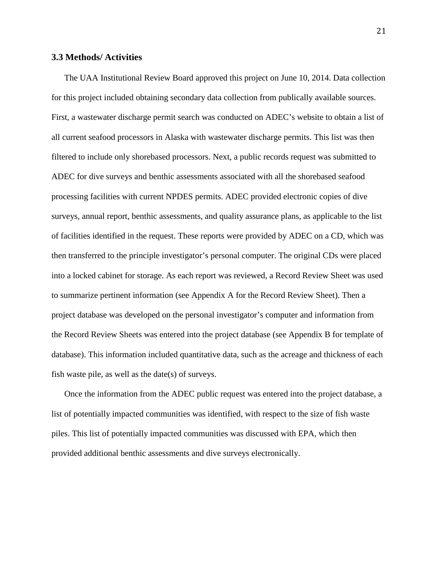#### **3.3 Methods/ Activities**

The UAA Institutional Review Board approved this project on June 10, 2014. Data collection for this project included obtaining secondary data collection from publically available sources. First, a wastewater discharge permit search was conducted on ADEC's website to obtain a list of all current seafood processors in Alaska with wastewater discharge permits. This list was then filtered to include only shorebased processors. Next, a public records request was submitted to ADEC for dive surveys and benthic assessments associated with all the shorebased seafood processing facilities with current NPDES permits. ADEC provided electronic copies of dive surveys, annual report, benthic assessments, and quality assurance plans, as applicable to the list of facilities identified in the request. These reports were provided by ADEC on a CD, which was then transferred to the principle investigator's personal computer. The original CDs were placed into a locked cabinet for storage. As each report was reviewed, a Record Review Sheet was used to summarize pertinent information (see Appendix A for the Record Review Sheet). Then a project database was developed on the personal investigator's computer and information from the Record Review Sheets was entered into the project database (see Appendix B for template of database). This information included quantitative data, such as the acreage and thickness of each fish waste pile, as well as the date(s) of surveys.

Once the information from the ADEC public request was entered into the project database, a list of potentially impacted communities was identified, with respect to the size of fish waste piles. This list of potentially impacted communities was discussed with EPA, which then provided additional benthic assessments and dive surveys electronically.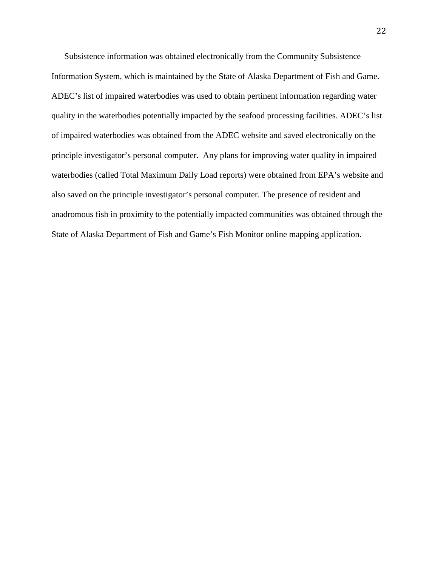Subsistence information was obtained electronically from the Community Subsistence Information System, which is maintained by the State of Alaska Department of Fish and Game. ADEC's list of impaired waterbodies was used to obtain pertinent information regarding water quality in the waterbodies potentially impacted by the seafood processing facilities. ADEC's list of impaired waterbodies was obtained from the ADEC website and saved electronically on the principle investigator's personal computer. Any plans for improving water quality in impaired waterbodies (called Total Maximum Daily Load reports) were obtained from EPA's website and also saved on the principle investigator's personal computer. The presence of resident and anadromous fish in proximity to the potentially impacted communities was obtained through the State of Alaska Department of Fish and Game's Fish Monitor online mapping application.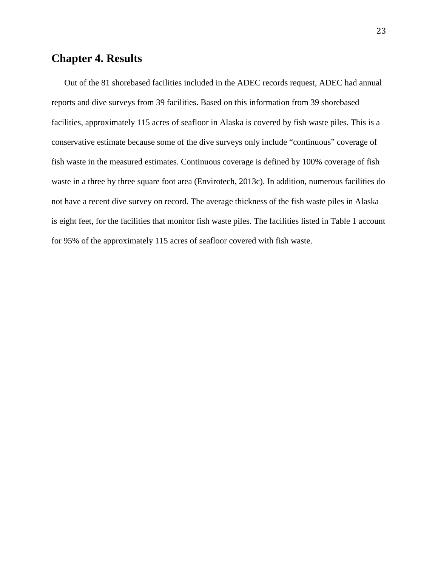# **Chapter 4. Results**

Out of the 81 shorebased facilities included in the ADEC records request, ADEC had annual reports and dive surveys from 39 facilities. Based on this information from 39 shorebased facilities, approximately 115 acres of seafloor in Alaska is covered by fish waste piles. This is a conservative estimate because some of the dive surveys only include "continuous" coverage of fish waste in the measured estimates. Continuous coverage is defined by 100% coverage of fish waste in a three by three square foot area (Envirotech, 2013c). In addition, numerous facilities do not have a recent dive survey on record. The average thickness of the fish waste piles in Alaska is eight feet, for the facilities that monitor fish waste piles. The facilities listed in Table 1 account for 95% of the approximately 115 acres of seafloor covered with fish waste.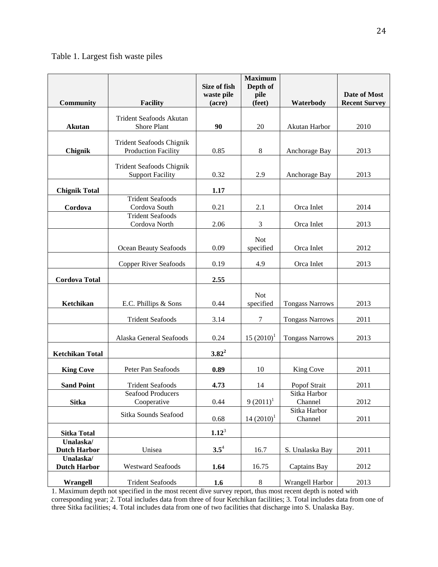## Table 1. Largest fish waste piles

|                                  |                                                     | Size of fish         | <b>Maximum</b><br>Depth of |                         |                                      |
|----------------------------------|-----------------------------------------------------|----------------------|----------------------------|-------------------------|--------------------------------------|
| <b>Community</b>                 | <b>Facility</b>                                     | waste pile<br>(acre) | pile<br>(feet)             | Waterbody               | Date of Most<br><b>Recent Survey</b> |
|                                  | <b>Trident Seafoods Akutan</b>                      |                      |                            |                         |                                      |
| <b>Akutan</b>                    | Shore Plant                                         | 90                   | 20                         | Akutan Harbor           | 2010                                 |
|                                  | <b>Trident Seafoods Chignik</b>                     |                      |                            |                         |                                      |
| Chignik                          | <b>Production Facility</b>                          | 0.85                 | 8                          | Anchorage Bay           | 2013                                 |
|                                  | Trident Seafoods Chignik<br><b>Support Facility</b> | 0.32                 | 2.9                        | Anchorage Bay           | 2013                                 |
| <b>Chignik Total</b>             |                                                     | 1.17                 |                            |                         |                                      |
| Cordova                          | <b>Trident Seafoods</b><br>Cordova South            | 0.21                 | 2.1                        | Orca Inlet              | 2014                                 |
|                                  | <b>Trident Seafoods</b><br>Cordova North            | 2.06                 | 3                          | Orca Inlet              | 2013                                 |
|                                  |                                                     |                      | <b>Not</b>                 |                         |                                      |
|                                  | Ocean Beauty Seafoods                               | 0.09                 | specified                  | Orca Inlet              | 2012                                 |
|                                  | <b>Copper River Seafoods</b>                        | 0.19                 | 4.9                        | Orca Inlet              | 2013                                 |
| <b>Cordova Total</b>             |                                                     | 2.55                 |                            |                         |                                      |
|                                  |                                                     |                      | <b>Not</b>                 |                         |                                      |
| Ketchikan                        | E.C. Phillips & Sons                                | 0.44                 | specified                  | <b>Tongass Narrows</b>  | 2013                                 |
|                                  | <b>Trident Seafoods</b>                             | 3.14                 | 7                          | <b>Tongass Narrows</b>  | 2011                                 |
|                                  | Alaska General Seafoods                             | 0.24                 | $15(2010)^1$               | <b>Tongass Narrows</b>  | 2013                                 |
| <b>Ketchikan Total</b>           |                                                     | $3.82^2$             |                            |                         |                                      |
| <b>King Cove</b>                 | Peter Pan Seafoods                                  | 0.89                 | 10                         | King Cove               | 2011                                 |
| <b>Sand Point</b>                | <b>Trident Seafoods</b>                             | 4.73                 | 14                         | Popof Strait            | 2011                                 |
| <b>Sitka</b>                     | Seafood Producers<br>Cooperative                    | 0.44                 | $9(2011)^1$                | Sitka Harbor<br>Channel | 2012                                 |
|                                  | Sitka Sounds Seafood                                |                      |                            | Sitka Harbor            |                                      |
|                                  |                                                     | 0.68                 | $14(2010)^1$               | Channel                 | 2011                                 |
| <b>Sitka Total</b><br>Unalaska/  |                                                     | $1.12^3$             |                            |                         |                                      |
| <b>Dutch Harbor</b>              | Unisea                                              | $3.5^4$              | 16.7                       | S. Unalaska Bay         | 2011                                 |
| Unalaska/<br><b>Dutch Harbor</b> | <b>Westward Seafoods</b>                            | 1.64                 | 16.75                      | Captains Bay            | 2012                                 |
| Wrangell                         | <b>Trident Seafoods</b>                             | 1.6                  | $\,8\,$                    | Wrangell Harbor         | 2013                                 |

1. Maximum depth not specified in the most recent dive survey report, thus most recent depth is noted with corresponding year; 2. Total includes data from three of four Ketchikan facilities; 3. Total includes data from one of three Sitka facilities; 4. Total includes data from one of two facilities that discharge into S. Unalaska Bay.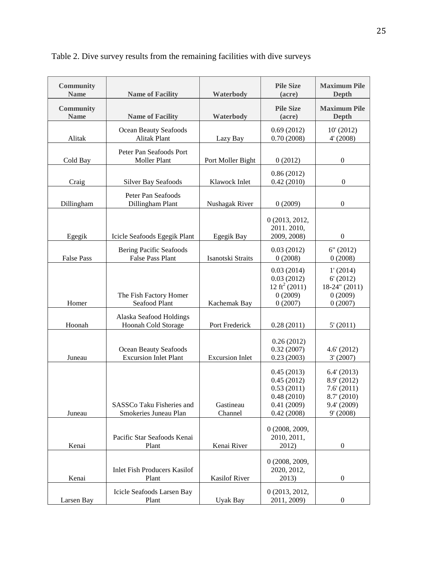| <b>Community</b><br><b>Name</b> | <b>Name of Facility</b>                                   | Waterbody              | <b>Pile Size</b><br>(acre)                                                       | <b>Maximum Pile</b><br>Depth                                                        |
|---------------------------------|-----------------------------------------------------------|------------------------|----------------------------------------------------------------------------------|-------------------------------------------------------------------------------------|
| <b>Community</b><br><b>Name</b> | <b>Name of Facility</b><br>Waterbody                      |                        | <b>Pile Size</b><br>(acre)                                                       | <b>Maximum Pile</b><br><b>Depth</b>                                                 |
| Alitak                          | Ocean Beauty Seafoods<br><b>Alitak Plant</b>              | Lazy Bay               | 0.69(2012)<br>0.70(2008)                                                         | 10' (2012)<br>4' (2008)                                                             |
| Cold Bay                        | Peter Pan Seafoods Port<br>Moller Plant                   | Port Moller Bight      | 0(2012)                                                                          | $\boldsymbol{0}$                                                                    |
| Craig                           | <b>Silver Bay Seafoods</b>                                | Klawock Inlet          | 0.86(2012)<br>0.42(2010)                                                         | $\boldsymbol{0}$                                                                    |
| Dillingham                      | Peter Pan Seafoods<br>Dillingham Plant                    | Nushagak River         | 0(2009)                                                                          | $\boldsymbol{0}$                                                                    |
| Egegik                          | Icicle Seafoods Egegik Plant                              | Egegik Bay             | 0 (2013, 2012,<br>2011.2010,<br>2009, 2008)                                      | $\boldsymbol{0}$                                                                    |
| <b>False Pass</b>               | <b>Bering Pacific Seafoods</b><br><b>False Pass Plant</b> | Isanotski Straits      | 0.03(2012)<br>0(2008)                                                            | 6" (2012)<br>0(2008)                                                                |
| Homer                           | The Fish Factory Homer<br>Seafood Plant                   | Kachemak Bay           | 0.03(2014)<br>0.03(2012)<br>12 ft <sup>2</sup> (2011)<br>0(2009)<br>0(2007)      | 1' (2014)<br>6' (2012)<br>$18-24$ " (2011)<br>0(2009)<br>0(2007)                    |
| Hoonah                          | Alaska Seafood Holdings<br>Hoonah Cold Storage            | Port Frederick         | 0.28(2011)                                                                       | 5' (2011)                                                                           |
| Juneau                          | Ocean Beauty Seafoods<br><b>Excursion Inlet Plant</b>     | <b>Excursion Inlet</b> | 0.26(2012)<br>0.32(2007)<br>0.23(2003)                                           | 4.6' (2012)<br>3'(2007)                                                             |
| Juneau                          | SASSCo Taku Fisheries and<br>Smokeries Juneau Plan        | Gastineau<br>Channel   | 0.45(2013)<br>0.45(2012)<br>0.53(2011)<br>0.48(2010)<br>0.41(2009)<br>0.42(2008) | 6.4' (2013)<br>8.9' (2012)<br>7.6'(2011)<br>8.7' (2010)<br>9.4' (2009)<br>9' (2008) |
| Kenai                           | Pacific Star Seafoods Kenai<br>Plant                      | Kenai River            | 0 (2008, 2009,<br>2010, 2011,<br>2012)                                           | $\boldsymbol{0}$                                                                    |
| Kenai                           | <b>Inlet Fish Producers Kasilof</b><br>Plant              | <b>Kasilof River</b>   | 0 (2008, 2009,<br>2020, 2012,<br>2013)                                           | $\boldsymbol{0}$                                                                    |
| Larsen Bay                      | Icicle Seafoods Larsen Bay<br>Plant                       | Uyak Bay               | 0 (2013, 2012,<br>2011, 2009)                                                    | $\boldsymbol{0}$                                                                    |

Table 2. Dive survey results from the remaining facilities with dive surveys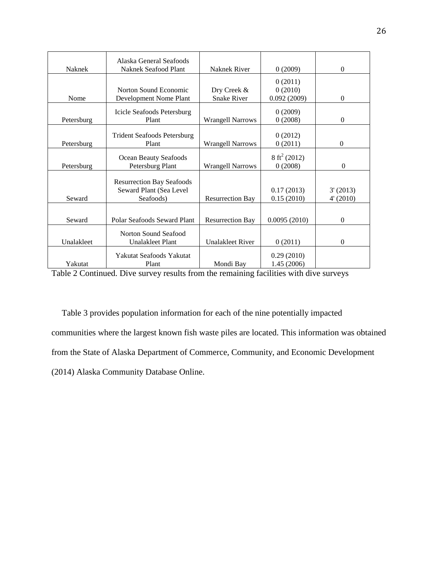|            | Alaska General Seafoods                                                              |                         |                                    |                       |
|------------|--------------------------------------------------------------------------------------|-------------------------|------------------------------------|-----------------------|
| Naknek     | Naknek Seafood Plant<br>Naknek River                                                 |                         | 0(2009)                            | $\overline{0}$        |
| Nome       | Norton Sound Economic<br>Dry Creek &<br><b>Snake River</b><br>Development Nome Plant |                         | 0(2011)<br>0(2010)<br>0.092(2009)  | $\overline{0}$        |
|            |                                                                                      |                         |                                    |                       |
| Petersburg | Icicle Seafoods Petersburg<br>Plant                                                  | <b>Wrangell Narrows</b> | 0(2009)<br>0(2008)                 | $\theta$              |
| Petersburg | <b>Trident Seafoods Petersburg</b><br>Plant<br><b>Wrangell Narrows</b>               |                         | 0(2012)<br>0(2011)                 | $\theta$              |
| Petersburg | Ocean Beauty Seafoods<br>Petersburg Plant<br><b>Wrangell Narrows</b>                 |                         | $8 \text{ ft}^2 (2012)$<br>0(2008) | $\Omega$              |
| Seward     | <b>Resurrection Bay Seafoods</b><br>Seward Plant (Sea Level<br>Seafoods)             | <b>Resurrection Bay</b> | 0.17(2013)<br>0.15(2010)           | 3'(2013)<br>4' (2010) |
|            |                                                                                      |                         |                                    |                       |
| Seward     | Polar Seafoods Seward Plant                                                          | <b>Resurrection Bay</b> | 0.0095(2010)                       | $\overline{0}$        |
| Unalakleet | <b>Norton Sound Seafood</b><br><b>Unalakleet Plant</b>                               | <b>Unalakleet River</b> | 0(2011)                            | $\theta$              |
| Yakutat    | Yakutat Seafoods Yakutat<br>Plant                                                    | Mondi Bay               | 0.29(2010)<br>1.45(2006)           |                       |

Table 2 Continued. Dive survey results from the remaining facilities with dive surveys

Table 3 provides population information for each of the nine potentially impacted communities where the largest known fish waste piles are located. This information was obtained from the State of Alaska Department of Commerce, Community, and Economic Development (2014) Alaska Community Database Online.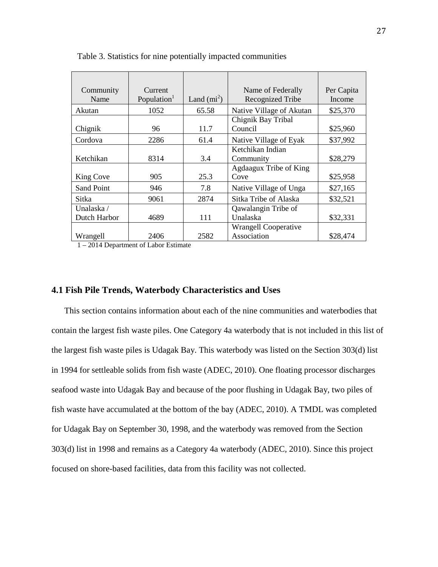| Community         | Current                 |             | Name of Federally           | Per Capita |
|-------------------|-------------------------|-------------|-----------------------------|------------|
| Name              | Population <sup>1</sup> | Land $(m2)$ | Recognized Tribe            | Income     |
| Akutan            | 1052                    | 65.58       | Native Village of Akutan    | \$25,370   |
|                   |                         |             | Chignik Bay Tribal          |            |
| Chignik           | 96                      | 11.7        | Council                     | \$25,960   |
| Cordova           | 2286                    | 61.4        | Native Village of Eyak      | \$37,992   |
|                   |                         |             | Ketchikan Indian            |            |
| Ketchikan         | 8314                    | 3.4         | Community                   | \$28,279   |
|                   |                         |             | Agdaagux Tribe of King      |            |
| King Cove         | 905                     | 25.3        | Cove                        | \$25,958   |
| <b>Sand Point</b> | 946                     | 7.8         | Native Village of Unga      | \$27,165   |
| Sitka             | 9061                    | 2874        | Sitka Tribe of Alaska       | \$32,521   |
| Unalaska /        |                         |             | Qawalangin Tribe of         |            |
| Dutch Harbor      | 4689                    | 111         | Unalaska                    | \$32,331   |
|                   |                         |             | <b>Wrangell Cooperative</b> |            |
| Wrangell<br>2011B | 2406<br>$\alpha$ i m    | 2582        | Association                 | \$28,474   |

Table 3. Statistics for nine potentially impacted communities

1 – 2014 Department of Labor Estimate

#### **4.1 Fish Pile Trends, Waterbody Characteristics and Uses**

This section contains information about each of the nine communities and waterbodies that contain the largest fish waste piles. One Category 4a waterbody that is not included in this list of the largest fish waste piles is Udagak Bay. This waterbody was listed on the Section 303(d) list in 1994 for settleable solids from fish waste (ADEC, 2010). One floating processor discharges seafood waste into Udagak Bay and because of the poor flushing in Udagak Bay, two piles of fish waste have accumulated at the bottom of the bay (ADEC, 2010). A TMDL was completed for Udagak Bay on September 30, 1998, and the waterbody was removed from the Section 303(d) list in 1998 and remains as a Category 4a waterbody (ADEC, 2010). Since this project focused on shore-based facilities, data from this facility was not collected.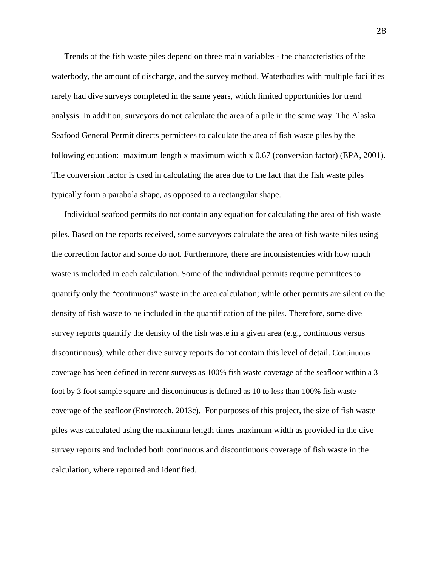Trends of the fish waste piles depend on three main variables - the characteristics of the waterbody, the amount of discharge, and the survey method. Waterbodies with multiple facilities rarely had dive surveys completed in the same years, which limited opportunities for trend analysis. In addition, surveyors do not calculate the area of a pile in the same way. The Alaska Seafood General Permit directs permittees to calculate the area of fish waste piles by the following equation: maximum length x maximum width x 0.67 (conversion factor) (EPA, 2001). The conversion factor is used in calculating the area due to the fact that the fish waste piles typically form a parabola shape, as opposed to a rectangular shape.

Individual seafood permits do not contain any equation for calculating the area of fish waste piles. Based on the reports received, some surveyors calculate the area of fish waste piles using the correction factor and some do not. Furthermore, there are inconsistencies with how much waste is included in each calculation. Some of the individual permits require permittees to quantify only the "continuous" waste in the area calculation; while other permits are silent on the density of fish waste to be included in the quantification of the piles. Therefore, some dive survey reports quantify the density of the fish waste in a given area (e.g., continuous versus discontinuous), while other dive survey reports do not contain this level of detail. Continuous coverage has been defined in recent surveys as 100% fish waste coverage of the seafloor within a 3 foot by 3 foot sample square and discontinuous is defined as 10 to less than 100% fish waste coverage of the seafloor (Envirotech, 2013c). For purposes of this project, the size of fish waste piles was calculated using the maximum length times maximum width as provided in the dive survey reports and included both continuous and discontinuous coverage of fish waste in the calculation, where reported and identified.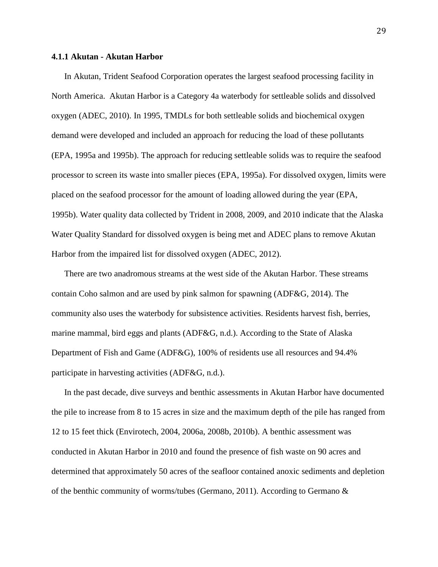#### **4.1.1 Akutan - Akutan Harbor**

In Akutan, Trident Seafood Corporation operates the largest seafood processing facility in North America. Akutan Harbor is a Category 4a waterbody for settleable solids and dissolved oxygen (ADEC, 2010). In 1995, TMDLs for both settleable solids and biochemical oxygen demand were developed and included an approach for reducing the load of these pollutants (EPA, 1995a and 1995b). The approach for reducing settleable solids was to require the seafood processor to screen its waste into smaller pieces (EPA, 1995a). For dissolved oxygen, limits were placed on the seafood processor for the amount of loading allowed during the year (EPA, 1995b). Water quality data collected by Trident in 2008, 2009, and 2010 indicate that the Alaska Water Quality Standard for dissolved oxygen is being met and ADEC plans to remove Akutan Harbor from the impaired list for dissolved oxygen (ADEC, 2012).

There are two anadromous streams at the west side of the Akutan Harbor. These streams contain Coho salmon and are used by pink salmon for spawning (ADF&G, 2014). The community also uses the waterbody for subsistence activities. Residents harvest fish, berries, marine mammal, bird eggs and plants (ADF&G, n.d.). According to the State of Alaska Department of Fish and Game (ADF&G), 100% of residents use all resources and 94.4% participate in harvesting activities (ADF&G, n.d.).

In the past decade, dive surveys and benthic assessments in Akutan Harbor have documented the pile to increase from 8 to 15 acres in size and the maximum depth of the pile has ranged from 12 to 15 feet thick (Envirotech, 2004, 2006a, 2008b, 2010b). A benthic assessment was conducted in Akutan Harbor in 2010 and found the presence of fish waste on 90 acres and determined that approximately 50 acres of the seafloor contained anoxic sediments and depletion of the benthic community of worms/tubes (Germano, 2011). According to Germano  $\&$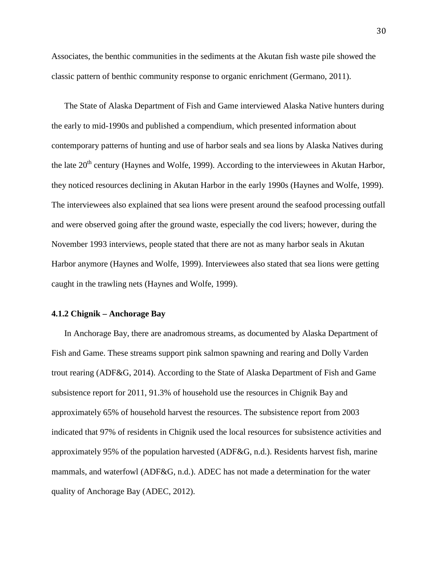Associates, the benthic communities in the sediments at the Akutan fish waste pile showed the classic pattern of benthic community response to organic enrichment (Germano, 2011).

The State of Alaska Department of Fish and Game interviewed Alaska Native hunters during the early to mid-1990s and published a compendium, which presented information about contemporary patterns of hunting and use of harbor seals and sea lions by Alaska Natives during the late  $20<sup>th</sup>$  century (Haynes and Wolfe, 1999). According to the interviewees in Akutan Harbor, they noticed resources declining in Akutan Harbor in the early 1990s (Haynes and Wolfe, 1999). The interviewees also explained that sea lions were present around the seafood processing outfall and were observed going after the ground waste, especially the cod livers; however, during the November 1993 interviews, people stated that there are not as many harbor seals in Akutan Harbor anymore (Haynes and Wolfe, 1999). Interviewees also stated that sea lions were getting caught in the trawling nets (Haynes and Wolfe, 1999).

# **4.1.2 Chignik – Anchorage Bay**

In Anchorage Bay, there are anadromous streams, as documented by Alaska Department of Fish and Game. These streams support pink salmon spawning and rearing and Dolly Varden trout rearing (ADF&G, 2014). According to the State of Alaska Department of Fish and Game subsistence report for 2011, 91.3% of household use the resources in Chignik Bay and approximately 65% of household harvest the resources. The subsistence report from 2003 indicated that 97% of residents in Chignik used the local resources for subsistence activities and approximately 95% of the population harvested (ADF&G, n.d.). Residents harvest fish, marine mammals, and waterfowl (ADF&G, n.d.). ADEC has not made a determination for the water quality of Anchorage Bay (ADEC, 2012).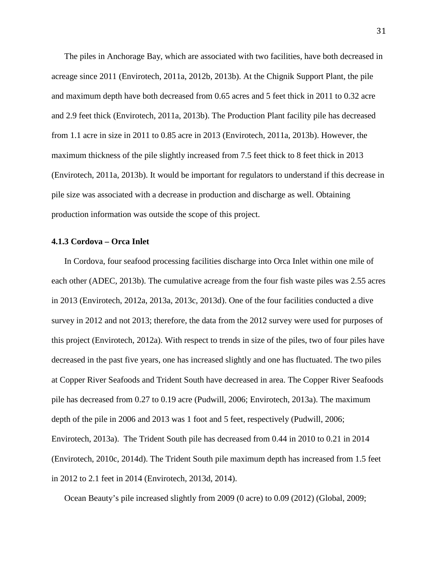The piles in Anchorage Bay, which are associated with two facilities, have both decreased in acreage since 2011 (Envirotech, 2011a, 2012b, 2013b). At the Chignik Support Plant, the pile and maximum depth have both decreased from 0.65 acres and 5 feet thick in 2011 to 0.32 acre and 2.9 feet thick (Envirotech, 2011a, 2013b). The Production Plant facility pile has decreased from 1.1 acre in size in 2011 to 0.85 acre in 2013 (Envirotech, 2011a, 2013b). However, the maximum thickness of the pile slightly increased from 7.5 feet thick to 8 feet thick in 2013 (Envirotech, 2011a, 2013b). It would be important for regulators to understand if this decrease in pile size was associated with a decrease in production and discharge as well. Obtaining production information was outside the scope of this project.

### **4.1.3 Cordova – Orca Inlet**

In Cordova, four seafood processing facilities discharge into Orca Inlet within one mile of each other (ADEC, 2013b). The cumulative acreage from the four fish waste piles was 2.55 acres in 2013 (Envirotech, 2012a, 2013a, 2013c, 2013d). One of the four facilities conducted a dive survey in 2012 and not 2013; therefore, the data from the 2012 survey were used for purposes of this project (Envirotech, 2012a). With respect to trends in size of the piles, two of four piles have decreased in the past five years, one has increased slightly and one has fluctuated. The two piles at Copper River Seafoods and Trident South have decreased in area. The Copper River Seafoods pile has decreased from 0.27 to 0.19 acre (Pudwill, 2006; Envirotech, 2013a). The maximum depth of the pile in 2006 and 2013 was 1 foot and 5 feet, respectively (Pudwill, 2006; Envirotech, 2013a). The Trident South pile has decreased from 0.44 in 2010 to 0.21 in 2014 (Envirotech, 2010c, 2014d). The Trident South pile maximum depth has increased from 1.5 feet in 2012 to 2.1 feet in 2014 (Envirotech, 2013d, 2014).

Ocean Beauty's pile increased slightly from 2009 (0 acre) to 0.09 (2012) (Global, 2009;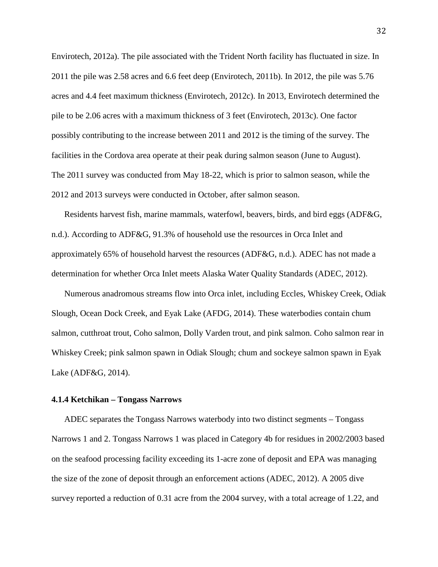Envirotech, 2012a). The pile associated with the Trident North facility has fluctuated in size. In 2011 the pile was 2.58 acres and 6.6 feet deep (Envirotech, 2011b). In 2012, the pile was 5.76 acres and 4.4 feet maximum thickness (Envirotech, 2012c). In 2013, Envirotech determined the pile to be 2.06 acres with a maximum thickness of 3 feet (Envirotech, 2013c). One factor possibly contributing to the increase between 2011 and 2012 is the timing of the survey. The facilities in the Cordova area operate at their peak during salmon season (June to August). The 2011 survey was conducted from May 18-22, which is prior to salmon season, while the 2012 and 2013 surveys were conducted in October, after salmon season.

Residents harvest fish, marine mammals, waterfowl, beavers, birds, and bird eggs (ADF&G, n.d.). According to ADF&G, 91.3% of household use the resources in Orca Inlet and approximately 65% of household harvest the resources (ADF&G, n.d.). ADEC has not made a determination for whether Orca Inlet meets Alaska Water Quality Standards (ADEC, 2012).

Numerous anadromous streams flow into Orca inlet, including Eccles, Whiskey Creek, Odiak Slough, Ocean Dock Creek, and Eyak Lake (AFDG, 2014). These waterbodies contain chum salmon, cutthroat trout, Coho salmon, Dolly Varden trout, and pink salmon. Coho salmon rear in Whiskey Creek; pink salmon spawn in Odiak Slough; chum and sockeye salmon spawn in Eyak Lake (ADF&G, 2014).

#### **4.1.4 Ketchikan – Tongass Narrows**

ADEC separates the Tongass Narrows waterbody into two distinct segments – Tongass Narrows 1 and 2. Tongass Narrows 1 was placed in Category 4b for residues in 2002/2003 based on the seafood processing facility exceeding its 1-acre zone of deposit and EPA was managing the size of the zone of deposit through an enforcement actions (ADEC, 2012). A 2005 dive survey reported a reduction of 0.31 acre from the 2004 survey, with a total acreage of 1.22, and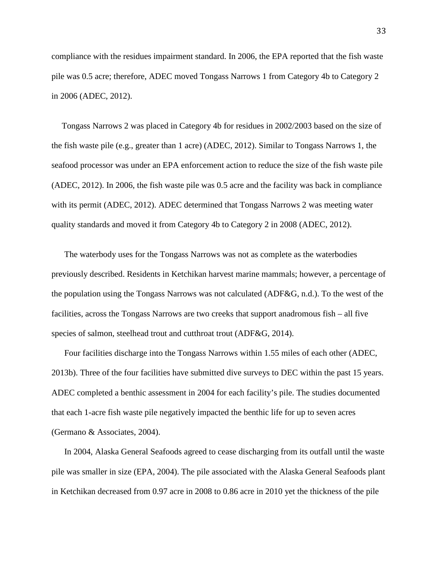compliance with the residues impairment standard. In 2006, the EPA reported that the fish waste pile was 0.5 acre; therefore, ADEC moved Tongass Narrows 1 from Category 4b to Category 2 in 2006 (ADEC, 2012).

Tongass Narrows 2 was placed in Category 4b for residues in 2002/2003 based on the size of the fish waste pile (e.g., greater than 1 acre) (ADEC, 2012). Similar to Tongass Narrows 1, the seafood processor was under an EPA enforcement action to reduce the size of the fish waste pile (ADEC, 2012). In 2006, the fish waste pile was 0.5 acre and the facility was back in compliance with its permit (ADEC, 2012). ADEC determined that Tongass Narrows 2 was meeting water quality standards and moved it from Category 4b to Category 2 in 2008 (ADEC, 2012).

The waterbody uses for the Tongass Narrows was not as complete as the waterbodies previously described. Residents in Ketchikan harvest marine mammals; however, a percentage of the population using the Tongass Narrows was not calculated (ADF&G, n.d.). To the west of the facilities, across the Tongass Narrows are two creeks that support anadromous fish – all five species of salmon, steelhead trout and cutthroat trout (ADF&G, 2014).

Four facilities discharge into the Tongass Narrows within 1.55 miles of each other (ADEC, 2013b). Three of the four facilities have submitted dive surveys to DEC within the past 15 years. ADEC completed a benthic assessment in 2004 for each facility's pile. The studies documented that each 1-acre fish waste pile negatively impacted the benthic life for up to seven acres (Germano & Associates, 2004).

In 2004, Alaska General Seafoods agreed to cease discharging from its outfall until the waste pile was smaller in size (EPA, 2004). The pile associated with the Alaska General Seafoods plant in Ketchikan decreased from 0.97 acre in 2008 to 0.86 acre in 2010 yet the thickness of the pile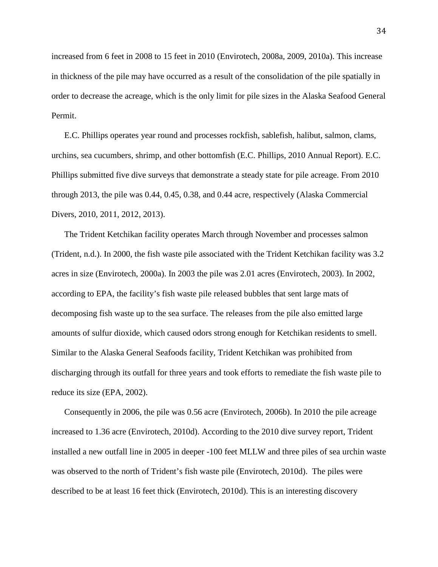increased from 6 feet in 2008 to 15 feet in 2010 (Envirotech, 2008a, 2009, 2010a). This increase in thickness of the pile may have occurred as a result of the consolidation of the pile spatially in order to decrease the acreage, which is the only limit for pile sizes in the Alaska Seafood General Permit.

E.C. Phillips operates year round and processes rockfish, sablefish, halibut, salmon, clams, urchins, sea cucumbers, shrimp, and other bottomfish (E.C. Phillips, 2010 Annual Report). E.C. Phillips submitted five dive surveys that demonstrate a steady state for pile acreage. From 2010 through 2013, the pile was 0.44, 0.45, 0.38, and 0.44 acre, respectively (Alaska Commercial Divers, 2010, 2011, 2012, 2013).

The Trident Ketchikan facility operates March through November and processes salmon (Trident, n.d.). In 2000, the fish waste pile associated with the Trident Ketchikan facility was 3.2 acres in size (Envirotech, 2000a). In 2003 the pile was 2.01 acres (Envirotech, 2003). In 2002, according to EPA, the facility's fish waste pile released bubbles that sent large mats of decomposing fish waste up to the sea surface. The releases from the pile also emitted large amounts of sulfur dioxide, which caused odors strong enough for Ketchikan residents to smell. Similar to the Alaska General Seafoods facility, Trident Ketchikan was prohibited from discharging through its outfall for three years and took efforts to remediate the fish waste pile to reduce its size (EPA, 2002).

Consequently in 2006, the pile was 0.56 acre (Envirotech, 2006b). In 2010 the pile acreage increased to 1.36 acre (Envirotech, 2010d). According to the 2010 dive survey report, Trident installed a new outfall line in 2005 in deeper -100 feet MLLW and three piles of sea urchin waste was observed to the north of Trident's fish waste pile (Envirotech, 2010d). The piles were described to be at least 16 feet thick (Envirotech, 2010d). This is an interesting discovery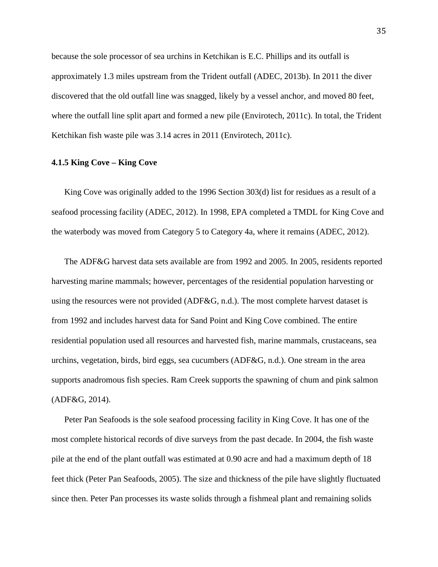because the sole processor of sea urchins in Ketchikan is E.C. Phillips and its outfall is approximately 1.3 miles upstream from the Trident outfall (ADEC, 2013b). In 2011 the diver discovered that the old outfall line was snagged, likely by a vessel anchor, and moved 80 feet, where the outfall line split apart and formed a new pile (Envirotech, 2011c). In total, the Trident Ketchikan fish waste pile was 3.14 acres in 2011 (Envirotech, 2011c).

# **4.1.5 King Cove – King Cove**

King Cove was originally added to the 1996 Section 303(d) list for residues as a result of a seafood processing facility (ADEC, 2012). In 1998, EPA completed a TMDL for King Cove and the waterbody was moved from Category 5 to Category 4a, where it remains (ADEC, 2012).

The ADF&G harvest data sets available are from 1992 and 2005. In 2005, residents reported harvesting marine mammals; however, percentages of the residential population harvesting or using the resources were not provided (ADF&G, n.d.). The most complete harvest dataset is from 1992 and includes harvest data for Sand Point and King Cove combined. The entire residential population used all resources and harvested fish, marine mammals, crustaceans, sea urchins, vegetation, birds, bird eggs, sea cucumbers (ADF&G, n.d.). One stream in the area supports anadromous fish species. Ram Creek supports the spawning of chum and pink salmon (ADF&G, 2014).

Peter Pan Seafoods is the sole seafood processing facility in King Cove. It has one of the most complete historical records of dive surveys from the past decade. In 2004, the fish waste pile at the end of the plant outfall was estimated at 0.90 acre and had a maximum depth of 18 feet thick (Peter Pan Seafoods, 2005). The size and thickness of the pile have slightly fluctuated since then. Peter Pan processes its waste solids through a fishmeal plant and remaining solids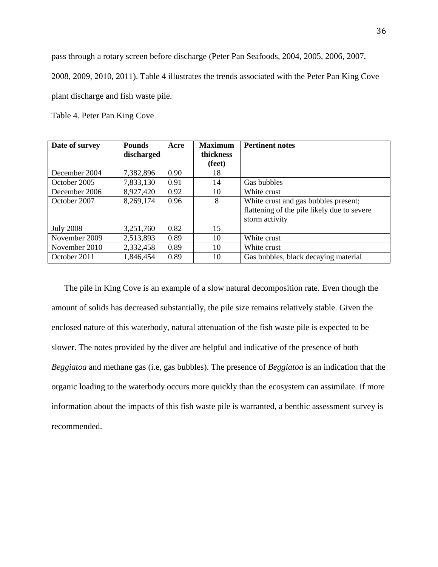pass through a rotary screen before discharge (Peter Pan Seafoods, 2004, 2005, 2006, 2007,

2008, 2009, 2010, 2011). Table 4 illustrates the trends associated with the Peter Pan King Cove

plant discharge and fish waste pile.

Table 4. Peter Pan King Cove

| Date of survey   | <b>Pounds</b> | Acre | <b>Maximum</b> | <b>Pertinent notes</b>                      |
|------------------|---------------|------|----------------|---------------------------------------------|
|                  | discharged    |      | thickness      |                                             |
|                  |               |      | (feet)         |                                             |
| December 2004    | 7,382,896     | 0.90 | 18             |                                             |
| October 2005     | 7,833,130     | 0.91 | 14             | Gas bubbles                                 |
| December 2006    | 8,927,420     | 0.92 | 10             | White crust                                 |
| October 2007     | 8,269,174     | 0.96 | 8              | White crust and gas bubbles present;        |
|                  |               |      |                | flattening of the pile likely due to severe |
|                  |               |      |                | storm activity                              |
| <b>July 2008</b> | 3,251,760     | 0.82 | 15             |                                             |
| November 2009    | 2,513,893     | 0.89 | 10             | White crust                                 |
| November 2010    | 2,332,458     | 0.89 | 10             | White crust                                 |
| October 2011     | 1,846,454     | 0.89 | 10             | Gas bubbles, black decaying material        |

The pile in King Cove is an example of a slow natural decomposition rate. Even though the amount of solids has decreased substantially, the pile size remains relatively stable. Given the enclosed nature of this waterbody, natural attenuation of the fish waste pile is expected to be slower. The notes provided by the diver are helpful and indicative of the presence of both *Beggiatoa* and methane gas (i.e, gas bubbles). The presence of *Beggiatoa* is an indication that the organic loading to the waterbody occurs more quickly than the ecosystem can assimilate. If more information about the impacts of this fish waste pile is warranted, a benthic assessment survey is recommended.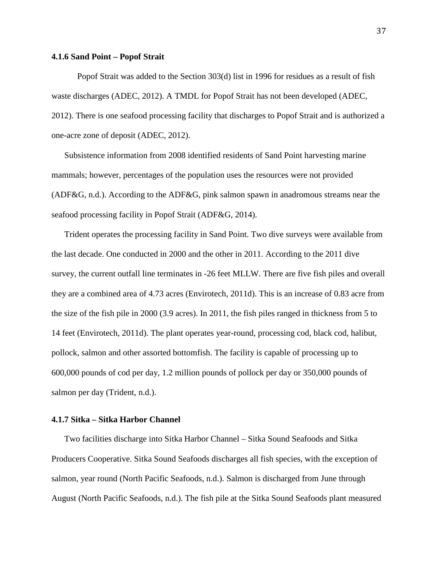# **4.1.6 Sand Point – Popof Strait**

Popof Strait was added to the Section 303(d) list in 1996 for residues as a result of fish waste discharges (ADEC, 2012). A TMDL for Popof Strait has not been developed (ADEC, 2012). There is one seafood processing facility that discharges to Popof Strait and is authorized a one-acre zone of deposit (ADEC, 2012).

Subsistence information from 2008 identified residents of Sand Point harvesting marine mammals; however, percentages of the population uses the resources were not provided (ADF&G, n.d.). According to the ADF&G, pink salmon spawn in anadromous streams near the seafood processing facility in Popof Strait (ADF&G, 2014).

Trident operates the processing facility in Sand Point. Two dive surveys were available from the last decade. One conducted in 2000 and the other in 2011. According to the 2011 dive survey, the current outfall line terminates in -26 feet MLLW. There are five fish piles and overall they are a combined area of 4.73 acres (Envirotech, 2011d). This is an increase of 0.83 acre from the size of the fish pile in 2000 (3.9 acres). In 2011, the fish piles ranged in thickness from 5 to 14 feet (Envirotech, 2011d). The plant operates year-round, processing cod, black cod, halibut, pollock, salmon and other assorted bottomfish. The facility is capable of processing up to 600,000 pounds of cod per day, 1.2 million pounds of pollock per day or 350,000 pounds of salmon per day (Trident, n.d.).

## **4.1.7 Sitka – Sitka Harbor Channel**

Two facilities discharge into Sitka Harbor Channel – Sitka Sound Seafoods and Sitka Producers Cooperative. Sitka Sound Seafoods discharges all fish species, with the exception of salmon, year round (North Pacific Seafoods, n.d.). Salmon is discharged from June through August (North Pacific Seafoods, n.d.). The fish pile at the Sitka Sound Seafoods plant measured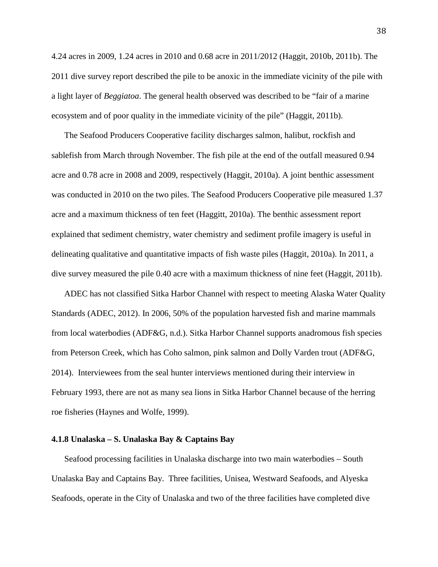4.24 acres in 2009, 1.24 acres in 2010 and 0.68 acre in 2011/2012 (Haggit, 2010b, 2011b). The 2011 dive survey report described the pile to be anoxic in the immediate vicinity of the pile with a light layer of *Beggiatoa*. The general health observed was described to be "fair of a marine ecosystem and of poor quality in the immediate vicinity of the pile" (Haggit, 2011b).

The Seafood Producers Cooperative facility discharges salmon, halibut, rockfish and sablefish from March through November. The fish pile at the end of the outfall measured 0.94 acre and 0.78 acre in 2008 and 2009, respectively (Haggit, 2010a). A joint benthic assessment was conducted in 2010 on the two piles. The Seafood Producers Cooperative pile measured 1.37 acre and a maximum thickness of ten feet (Haggitt, 2010a). The benthic assessment report explained that sediment chemistry, water chemistry and sediment profile imagery is useful in delineating qualitative and quantitative impacts of fish waste piles (Haggit, 2010a). In 2011, a dive survey measured the pile 0.40 acre with a maximum thickness of nine feet (Haggit, 2011b).

ADEC has not classified Sitka Harbor Channel with respect to meeting Alaska Water Quality Standards (ADEC, 2012). In 2006, 50% of the population harvested fish and marine mammals from local waterbodies (ADF&G, n.d.). Sitka Harbor Channel supports anadromous fish species from Peterson Creek, which has Coho salmon, pink salmon and Dolly Varden trout (ADF&G, 2014). Interviewees from the seal hunter interviews mentioned during their interview in February 1993, there are not as many sea lions in Sitka Harbor Channel because of the herring roe fisheries (Haynes and Wolfe, 1999).

# **4.1.8 Unalaska – S. Unalaska Bay & Captains Bay**

Seafood processing facilities in Unalaska discharge into two main waterbodies – South Unalaska Bay and Captains Bay. Three facilities, Unisea, Westward Seafoods, and Alyeska Seafoods, operate in the City of Unalaska and two of the three facilities have completed dive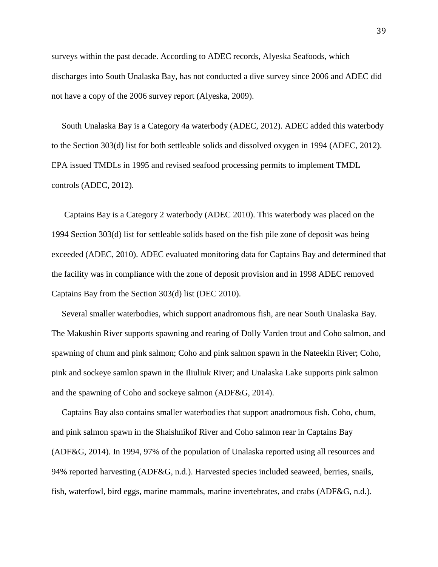surveys within the past decade. According to ADEC records, Alyeska Seafoods, which discharges into South Unalaska Bay, has not conducted a dive survey since 2006 and ADEC did not have a copy of the 2006 survey report (Alyeska, 2009).

South Unalaska Bay is a Category 4a waterbody (ADEC, 2012). ADEC added this waterbody to the Section 303(d) list for both settleable solids and dissolved oxygen in 1994 (ADEC, 2012). EPA issued TMDLs in 1995 and revised seafood processing permits to implement TMDL controls (ADEC, 2012).

Captains Bay is a Category 2 waterbody (ADEC 2010). This waterbody was placed on the 1994 Section 303(d) list for settleable solids based on the fish pile zone of deposit was being exceeded (ADEC, 2010). ADEC evaluated monitoring data for Captains Bay and determined that the facility was in compliance with the zone of deposit provision and in 1998 ADEC removed Captains Bay from the Section 303(d) list (DEC 2010).

Several smaller waterbodies, which support anadromous fish, are near South Unalaska Bay. The Makushin River supports spawning and rearing of Dolly Varden trout and Coho salmon, and spawning of chum and pink salmon; Coho and pink salmon spawn in the Nateekin River; Coho, pink and sockeye samlon spawn in the Iliuliuk River; and Unalaska Lake supports pink salmon and the spawning of Coho and sockeye salmon (ADF&G, 2014).

Captains Bay also contains smaller waterbodies that support anadromous fish. Coho, chum, and pink salmon spawn in the Shaishnikof River and Coho salmon rear in Captains Bay (ADF&G, 2014). In 1994, 97% of the population of Unalaska reported using all resources and 94% reported harvesting (ADF&G, n.d.). Harvested species included seaweed, berries, snails, fish, waterfowl, bird eggs, marine mammals, marine invertebrates, and crabs (ADF&G, n.d.).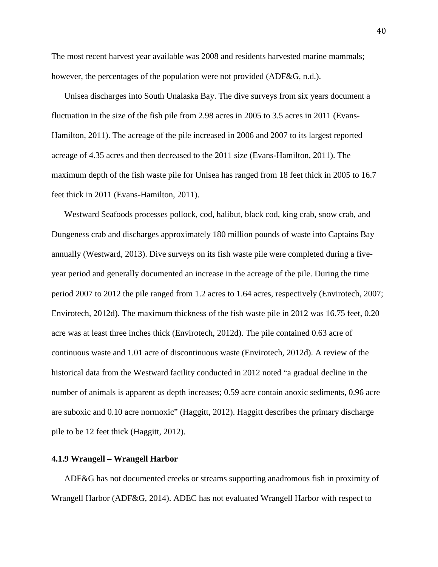The most recent harvest year available was 2008 and residents harvested marine mammals; however, the percentages of the population were not provided (ADF&G, n.d.).

Unisea discharges into South Unalaska Bay. The dive surveys from six years document a fluctuation in the size of the fish pile from 2.98 acres in 2005 to 3.5 acres in 2011 (Evans-Hamilton, 2011). The acreage of the pile increased in 2006 and 2007 to its largest reported acreage of 4.35 acres and then decreased to the 2011 size (Evans-Hamilton, 2011). The maximum depth of the fish waste pile for Unisea has ranged from 18 feet thick in 2005 to 16.7 feet thick in 2011 (Evans-Hamilton, 2011).

Westward Seafoods processes pollock, cod, halibut, black cod, king crab, snow crab, and Dungeness crab and discharges approximately 180 million pounds of waste into Captains Bay annually (Westward, 2013). Dive surveys on its fish waste pile were completed during a fiveyear period and generally documented an increase in the acreage of the pile. During the time period 2007 to 2012 the pile ranged from 1.2 acres to 1.64 acres, respectively (Envirotech, 2007; Envirotech, 2012d). The maximum thickness of the fish waste pile in 2012 was 16.75 feet, 0.20 acre was at least three inches thick (Envirotech, 2012d). The pile contained 0.63 acre of continuous waste and 1.01 acre of discontinuous waste (Envirotech, 2012d). A review of the historical data from the Westward facility conducted in 2012 noted "a gradual decline in the number of animals is apparent as depth increases; 0.59 acre contain anoxic sediments, 0.96 acre are suboxic and 0.10 acre normoxic" (Haggitt, 2012). Haggitt describes the primary discharge pile to be 12 feet thick (Haggitt, 2012).

# **4.1.9 Wrangell – Wrangell Harbor**

ADF&G has not documented creeks or streams supporting anadromous fish in proximity of Wrangell Harbor (ADF&G, 2014). ADEC has not evaluated Wrangell Harbor with respect to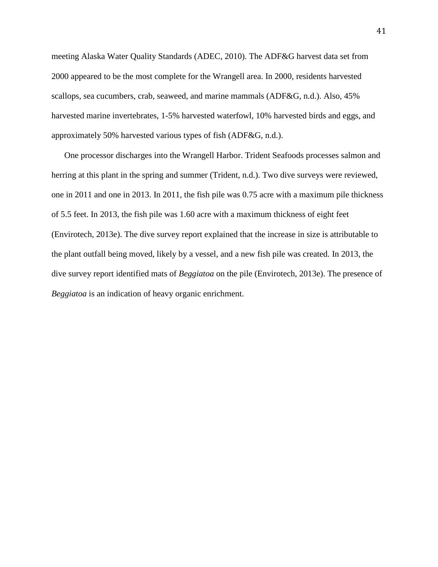meeting Alaska Water Quality Standards (ADEC, 2010). The ADF&G harvest data set from 2000 appeared to be the most complete for the Wrangell area. In 2000, residents harvested scallops, sea cucumbers, crab, seaweed, and marine mammals (ADF&G, n.d.). Also, 45% harvested marine invertebrates, 1-5% harvested waterfowl, 10% harvested birds and eggs, and approximately 50% harvested various types of fish (ADF&G, n.d.).

One processor discharges into the Wrangell Harbor. Trident Seafoods processes salmon and herring at this plant in the spring and summer (Trident, n.d.). Two dive surveys were reviewed, one in 2011 and one in 2013. In 2011, the fish pile was 0.75 acre with a maximum pile thickness of 5.5 feet. In 2013, the fish pile was 1.60 acre with a maximum thickness of eight feet (Envirotech, 2013e). The dive survey report explained that the increase in size is attributable to the plant outfall being moved, likely by a vessel, and a new fish pile was created. In 2013, the dive survey report identified mats of *Beggiatoa* on the pile (Envirotech, 2013e). The presence of *Beggiatoa* is an indication of heavy organic enrichment.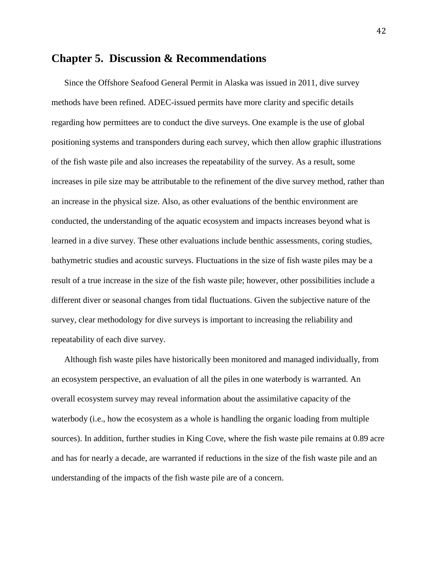# **Chapter 5. Discussion & Recommendations**

Since the Offshore Seafood General Permit in Alaska was issued in 2011, dive survey methods have been refined. ADEC-issued permits have more clarity and specific details regarding how permittees are to conduct the dive surveys. One example is the use of global positioning systems and transponders during each survey, which then allow graphic illustrations of the fish waste pile and also increases the repeatability of the survey. As a result, some increases in pile size may be attributable to the refinement of the dive survey method, rather than an increase in the physical size. Also, as other evaluations of the benthic environment are conducted, the understanding of the aquatic ecosystem and impacts increases beyond what is learned in a dive survey. These other evaluations include benthic assessments, coring studies, bathymetric studies and acoustic surveys. Fluctuations in the size of fish waste piles may be a result of a true increase in the size of the fish waste pile; however, other possibilities include a different diver or seasonal changes from tidal fluctuations. Given the subjective nature of the survey, clear methodology for dive surveys is important to increasing the reliability and repeatability of each dive survey.

Although fish waste piles have historically been monitored and managed individually, from an ecosystem perspective, an evaluation of all the piles in one waterbody is warranted. An overall ecosystem survey may reveal information about the assimilative capacity of the waterbody (i.e., how the ecosystem as a whole is handling the organic loading from multiple sources). In addition, further studies in King Cove, where the fish waste pile remains at 0.89 acre and has for nearly a decade, are warranted if reductions in the size of the fish waste pile and an understanding of the impacts of the fish waste pile are of a concern.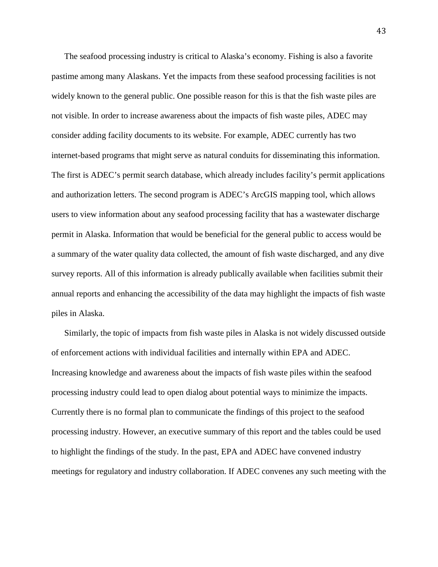The seafood processing industry is critical to Alaska's economy. Fishing is also a favorite pastime among many Alaskans. Yet the impacts from these seafood processing facilities is not widely known to the general public. One possible reason for this is that the fish waste piles are not visible. In order to increase awareness about the impacts of fish waste piles, ADEC may consider adding facility documents to its website. For example, ADEC currently has two internet-based programs that might serve as natural conduits for disseminating this information. The first is ADEC's permit search database, which already includes facility's permit applications and authorization letters. The second program is ADEC's ArcGIS mapping tool, which allows users to view information about any seafood processing facility that has a wastewater discharge permit in Alaska. Information that would be beneficial for the general public to access would be a summary of the water quality data collected, the amount of fish waste discharged, and any dive survey reports. All of this information is already publically available when facilities submit their annual reports and enhancing the accessibility of the data may highlight the impacts of fish waste piles in Alaska.

Similarly, the topic of impacts from fish waste piles in Alaska is not widely discussed outside of enforcement actions with individual facilities and internally within EPA and ADEC. Increasing knowledge and awareness about the impacts of fish waste piles within the seafood processing industry could lead to open dialog about potential ways to minimize the impacts. Currently there is no formal plan to communicate the findings of this project to the seafood processing industry. However, an executive summary of this report and the tables could be used to highlight the findings of the study. In the past, EPA and ADEC have convened industry meetings for regulatory and industry collaboration. If ADEC convenes any such meeting with the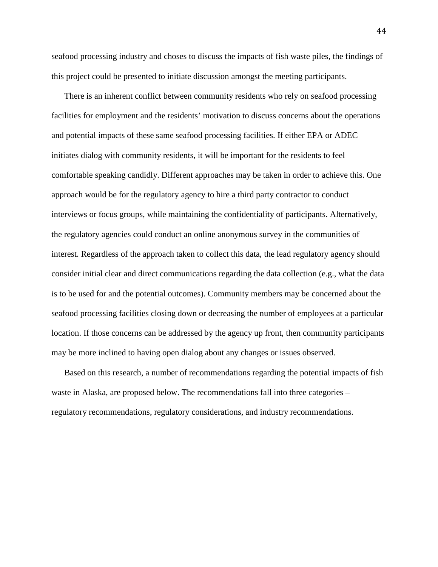seafood processing industry and choses to discuss the impacts of fish waste piles, the findings of this project could be presented to initiate discussion amongst the meeting participants.

There is an inherent conflict between community residents who rely on seafood processing facilities for employment and the residents' motivation to discuss concerns about the operations and potential impacts of these same seafood processing facilities. If either EPA or ADEC initiates dialog with community residents, it will be important for the residents to feel comfortable speaking candidly. Different approaches may be taken in order to achieve this. One approach would be for the regulatory agency to hire a third party contractor to conduct interviews or focus groups, while maintaining the confidentiality of participants. Alternatively, the regulatory agencies could conduct an online anonymous survey in the communities of interest. Regardless of the approach taken to collect this data, the lead regulatory agency should consider initial clear and direct communications regarding the data collection (e.g., what the data is to be used for and the potential outcomes). Community members may be concerned about the seafood processing facilities closing down or decreasing the number of employees at a particular location. If those concerns can be addressed by the agency up front, then community participants may be more inclined to having open dialog about any changes or issues observed.

Based on this research, a number of recommendations regarding the potential impacts of fish waste in Alaska, are proposed below. The recommendations fall into three categories – regulatory recommendations, regulatory considerations, and industry recommendations.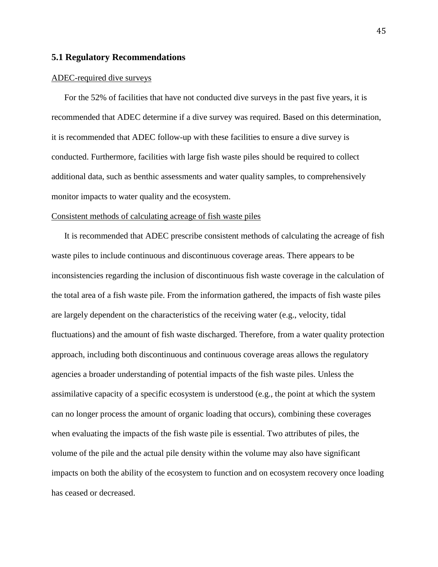## **5.1 Regulatory Recommendations**

#### ADEC-required dive surveys

For the 52% of facilities that have not conducted dive surveys in the past five years, it is recommended that ADEC determine if a dive survey was required. Based on this determination, it is recommended that ADEC follow-up with these facilities to ensure a dive survey is conducted. Furthermore, facilities with large fish waste piles should be required to collect additional data, such as benthic assessments and water quality samples, to comprehensively monitor impacts to water quality and the ecosystem.

#### Consistent methods of calculating acreage of fish waste piles

It is recommended that ADEC prescribe consistent methods of calculating the acreage of fish waste piles to include continuous and discontinuous coverage areas. There appears to be inconsistencies regarding the inclusion of discontinuous fish waste coverage in the calculation of the total area of a fish waste pile. From the information gathered, the impacts of fish waste piles are largely dependent on the characteristics of the receiving water (e.g., velocity, tidal fluctuations) and the amount of fish waste discharged. Therefore, from a water quality protection approach, including both discontinuous and continuous coverage areas allows the regulatory agencies a broader understanding of potential impacts of the fish waste piles. Unless the assimilative capacity of a specific ecosystem is understood (e.g., the point at which the system can no longer process the amount of organic loading that occurs), combining these coverages when evaluating the impacts of the fish waste pile is essential. Two attributes of piles, the volume of the pile and the actual pile density within the volume may also have significant impacts on both the ability of the ecosystem to function and on ecosystem recovery once loading has ceased or decreased.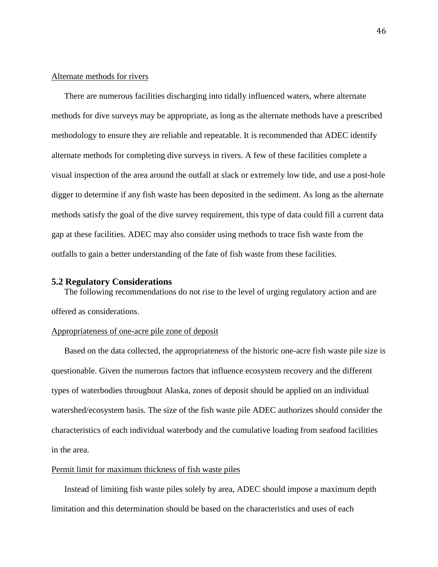# Alternate methods for rivers

There are numerous facilities discharging into tidally influenced waters, where alternate methods for dive surveys may be appropriate, as long as the alternate methods have a prescribed methodology to ensure they are reliable and repeatable. It is recommended that ADEC identify alternate methods for completing dive surveys in rivers. A few of these facilities complete a visual inspection of the area around the outfall at slack or extremely low tide, and use a post-hole digger to determine if any fish waste has been deposited in the sediment. As long as the alternate methods satisfy the goal of the dive survey requirement, this type of data could fill a current data gap at these facilities. ADEC may also consider using methods to trace fish waste from the outfalls to gain a better understanding of the fate of fish waste from these facilities.

#### **5.2 Regulatory Considerations**

The following recommendations do not rise to the level of urging regulatory action and are offered as considerations.

## Appropriateness of one-acre pile zone of deposit

Based on the data collected, the appropriateness of the historic one-acre fish waste pile size is questionable. Given the numerous factors that influence ecosystem recovery and the different types of waterbodies throughout Alaska, zones of deposit should be applied on an individual watershed/ecosystem basis. The size of the fish waste pile ADEC authorizes should consider the characteristics of each individual waterbody and the cumulative loading from seafood facilities in the area.

# Permit limit for maximum thickness of fish waste piles

Instead of limiting fish waste piles solely by area, ADEC should impose a maximum depth limitation and this determination should be based on the characteristics and uses of each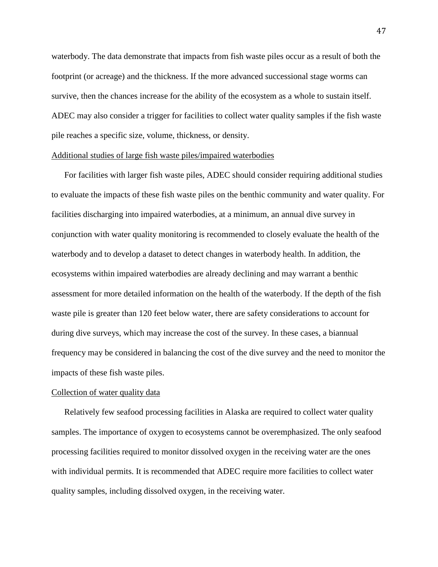waterbody. The data demonstrate that impacts from fish waste piles occur as a result of both the footprint (or acreage) and the thickness. If the more advanced successional stage worms can survive, then the chances increase for the ability of the ecosystem as a whole to sustain itself. ADEC may also consider a trigger for facilities to collect water quality samples if the fish waste pile reaches a specific size, volume, thickness, or density.

## Additional studies of large fish waste piles/impaired waterbodies

For facilities with larger fish waste piles, ADEC should consider requiring additional studies to evaluate the impacts of these fish waste piles on the benthic community and water quality. For facilities discharging into impaired waterbodies, at a minimum, an annual dive survey in conjunction with water quality monitoring is recommended to closely evaluate the health of the waterbody and to develop a dataset to detect changes in waterbody health. In addition, the ecosystems within impaired waterbodies are already declining and may warrant a benthic assessment for more detailed information on the health of the waterbody. If the depth of the fish waste pile is greater than 120 feet below water, there are safety considerations to account for during dive surveys, which may increase the cost of the survey. In these cases, a biannual frequency may be considered in balancing the cost of the dive survey and the need to monitor the impacts of these fish waste piles.

# Collection of water quality data

Relatively few seafood processing facilities in Alaska are required to collect water quality samples. The importance of oxygen to ecosystems cannot be overemphasized. The only seafood processing facilities required to monitor dissolved oxygen in the receiving water are the ones with individual permits. It is recommended that ADEC require more facilities to collect water quality samples, including dissolved oxygen, in the receiving water.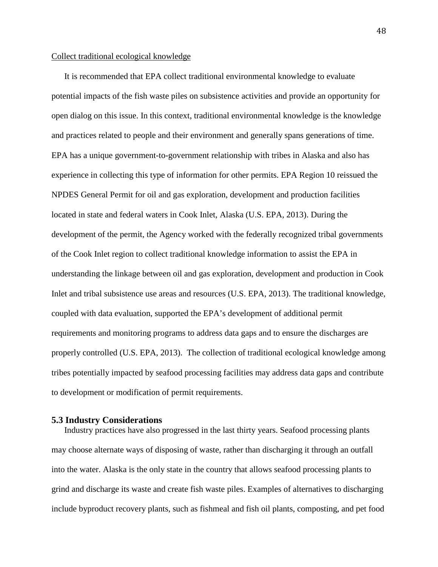#### Collect traditional ecological knowledge

It is recommended that EPA collect traditional environmental knowledge to evaluate potential impacts of the fish waste piles on subsistence activities and provide an opportunity for open dialog on this issue. In this context, traditional environmental knowledge is the knowledge and practices related to people and their environment and generally spans generations of time. EPA has a unique government-to-government relationship with tribes in Alaska and also has experience in collecting this type of information for other permits. EPA Region 10 reissued the NPDES General Permit for oil and gas exploration, development and production facilities located in state and federal waters in Cook Inlet, Alaska (U.S. EPA, 2013). During the development of the permit, the Agency worked with the federally recognized tribal governments of the Cook Inlet region to collect traditional knowledge information to assist the EPA in understanding the linkage between oil and gas exploration, development and production in Cook Inlet and tribal subsistence use areas and resources (U.S. EPA, 2013). The traditional knowledge, coupled with data evaluation, supported the EPA's development of additional permit requirements and monitoring programs to address data gaps and to ensure the discharges are properly controlled (U.S. EPA, 2013). The collection of traditional ecological knowledge among tribes potentially impacted by seafood processing facilities may address data gaps and contribute to development or modification of permit requirements.

#### **5.3 Industry Considerations**

Industry practices have also progressed in the last thirty years. Seafood processing plants may choose alternate ways of disposing of waste, rather than discharging it through an outfall into the water. Alaska is the only state in the country that allows seafood processing plants to grind and discharge its waste and create fish waste piles. Examples of alternatives to discharging include byproduct recovery plants, such as fishmeal and fish oil plants, composting, and pet food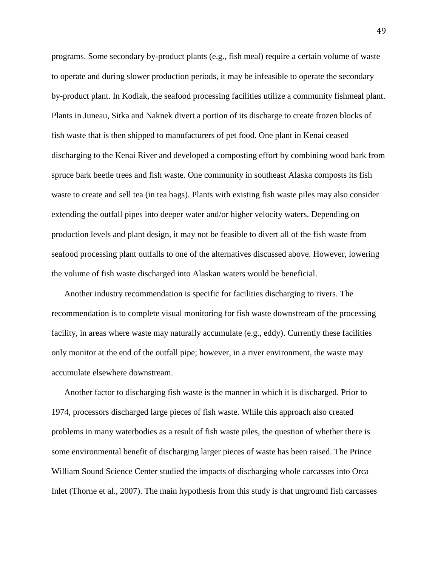programs. Some secondary by-product plants (e.g., fish meal) require a certain volume of waste to operate and during slower production periods, it may be infeasible to operate the secondary by-product plant. In Kodiak, the seafood processing facilities utilize a community fishmeal plant. Plants in Juneau, Sitka and Naknek divert a portion of its discharge to create frozen blocks of fish waste that is then shipped to manufacturers of pet food. One plant in Kenai ceased discharging to the Kenai River and developed a composting effort by combining wood bark from spruce bark beetle trees and fish waste. One community in southeast Alaska composts its fish waste to create and sell tea (in tea bags). Plants with existing fish waste piles may also consider extending the outfall pipes into deeper water and/or higher velocity waters. Depending on production levels and plant design, it may not be feasible to divert all of the fish waste from seafood processing plant outfalls to one of the alternatives discussed above. However, lowering the volume of fish waste discharged into Alaskan waters would be beneficial.

Another industry recommendation is specific for facilities discharging to rivers. The recommendation is to complete visual monitoring for fish waste downstream of the processing facility, in areas where waste may naturally accumulate (e.g., eddy). Currently these facilities only monitor at the end of the outfall pipe; however, in a river environment, the waste may accumulate elsewhere downstream.

Another factor to discharging fish waste is the manner in which it is discharged. Prior to 1974, processors discharged large pieces of fish waste. While this approach also created problems in many waterbodies as a result of fish waste piles, the question of whether there is some environmental benefit of discharging larger pieces of waste has been raised. The Prince William Sound Science Center studied the impacts of discharging whole carcasses into Orca Inlet (Thorne et al., 2007). The main hypothesis from this study is that unground fish carcasses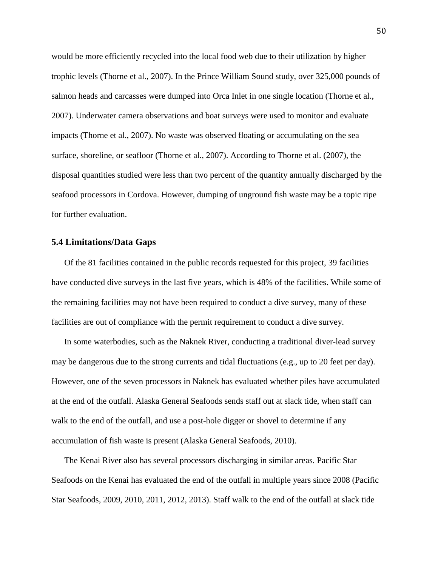would be more efficiently recycled into the local food web due to their utilization by higher trophic levels (Thorne et al., 2007). In the Prince William Sound study, over 325,000 pounds of salmon heads and carcasses were dumped into Orca Inlet in one single location (Thorne et al., 2007). Underwater camera observations and boat surveys were used to monitor and evaluate impacts (Thorne et al., 2007). No waste was observed floating or accumulating on the sea surface, shoreline, or seafloor (Thorne et al., 2007). According to Thorne et al. (2007), the disposal quantities studied were less than two percent of the quantity annually discharged by the seafood processors in Cordova. However, dumping of unground fish waste may be a topic ripe for further evaluation.

# **5.4 Limitations/Data Gaps**

Of the 81 facilities contained in the public records requested for this project, 39 facilities have conducted dive surveys in the last five years, which is 48% of the facilities. While some of the remaining facilities may not have been required to conduct a dive survey, many of these facilities are out of compliance with the permit requirement to conduct a dive survey.

In some waterbodies, such as the Naknek River, conducting a traditional diver-lead survey may be dangerous due to the strong currents and tidal fluctuations (e.g., up to 20 feet per day). However, one of the seven processors in Naknek has evaluated whether piles have accumulated at the end of the outfall. Alaska General Seafoods sends staff out at slack tide, when staff can walk to the end of the outfall, and use a post-hole digger or shovel to determine if any accumulation of fish waste is present (Alaska General Seafoods, 2010).

The Kenai River also has several processors discharging in similar areas. Pacific Star Seafoods on the Kenai has evaluated the end of the outfall in multiple years since 2008 (Pacific Star Seafoods, 2009, 2010, 2011, 2012, 2013). Staff walk to the end of the outfall at slack tide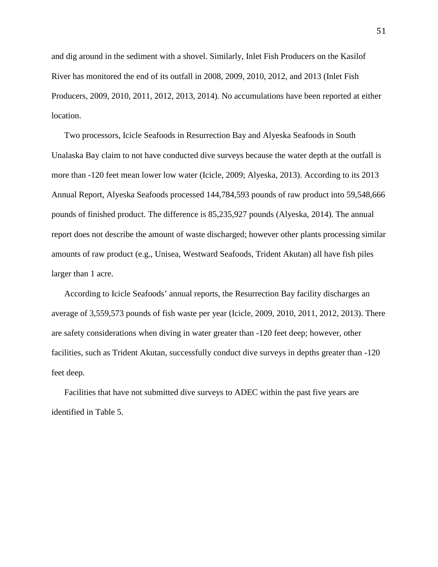and dig around in the sediment with a shovel. Similarly, Inlet Fish Producers on the Kasilof River has monitored the end of its outfall in 2008, 2009, 2010, 2012, and 2013 (Inlet Fish Producers, 2009, 2010, 2011, 2012, 2013, 2014). No accumulations have been reported at either location.

Two processors, Icicle Seafoods in Resurrection Bay and Alyeska Seafoods in South Unalaska Bay claim to not have conducted dive surveys because the water depth at the outfall is more than -120 feet mean lower low water (Icicle, 2009; Alyeska, 2013). According to its 2013 Annual Report, Alyeska Seafoods processed 144,784,593 pounds of raw product into 59,548,666 pounds of finished product. The difference is 85,235,927 pounds (Alyeska, 2014). The annual report does not describe the amount of waste discharged; however other plants processing similar amounts of raw product (e.g., Unisea, Westward Seafoods, Trident Akutan) all have fish piles larger than 1 acre.

According to Icicle Seafoods' annual reports, the Resurrection Bay facility discharges an average of 3,559,573 pounds of fish waste per year (Icicle, 2009, 2010, 2011, 2012, 2013). There are safety considerations when diving in water greater than -120 feet deep; however, other facilities, such as Trident Akutan, successfully conduct dive surveys in depths greater than -120 feet deep.

Facilities that have not submitted dive surveys to ADEC within the past five years are identified in Table 5.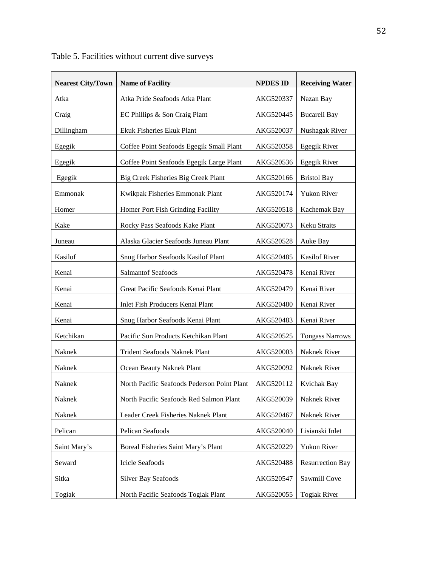| <b>Nearest City/Town</b> | <b>Name of Facility</b>                     | <b>NPDES ID</b> | <b>Receiving Water</b>  |
|--------------------------|---------------------------------------------|-----------------|-------------------------|
| Atka                     | Atka Pride Seafoods Atka Plant              | AKG520337       | Nazan Bay               |
| Craig                    | EC Phillips & Son Craig Plant               | AKG520445       | Bucareli Bay            |
| Dillingham               | Ekuk Fisheries Ekuk Plant                   | AKG520037       | Nushagak River          |
| Egegik                   | Coffee Point Seafoods Egegik Small Plant    | AKG520358       | Egegik River            |
| Egegik                   | Coffee Point Seafoods Egegik Large Plant    | AKG520536       | Egegik River            |
| Egegik                   | Big Creek Fisheries Big Creek Plant         | AKG520166       | <b>Bristol Bay</b>      |
| Emmonak                  | Kwikpak Fisheries Emmonak Plant             | AKG520174       | Yukon River             |
| Homer                    | Homer Port Fish Grinding Facility           | AKG520518       | Kachemak Bay            |
| Kake                     | Rocky Pass Seafoods Kake Plant              | AKG520073       | Keku Straits            |
| Juneau                   | Alaska Glacier Seafoods Juneau Plant        | AKG520528       | Auke Bay                |
| Kasilof                  | Snug Harbor Seafoods Kasilof Plant          | AKG520485       | <b>Kasilof River</b>    |
| Kenai                    | <b>Salmantof Seafoods</b>                   | AKG520478       | Kenai River             |
| Kenai                    | Great Pacific Seafoods Kenai Plant          | AKG520479       | Kenai River             |
| Kenai                    | Inlet Fish Producers Kenai Plant            | AKG520480       | Kenai River             |
| Kenai                    | Snug Harbor Seafoods Kenai Plant            | AKG520483       | Kenai River             |
| Ketchikan                | Pacific Sun Products Ketchikan Plant        | AKG520525       | <b>Tongass Narrows</b>  |
| Naknek                   | Trident Seafoods Naknek Plant               | AKG520003       | Naknek River            |
| Naknek                   | Ocean Beauty Naknek Plant                   | AKG520092       | Naknek River            |
| Naknek                   | North Pacific Seafoods Pederson Point Plant | AKG520112       | Kvichak Bay             |
| Naknek                   | North Pacific Seafoods Red Salmon Plant     | AKG520039       | Naknek River            |
| Naknek                   | Leader Creek Fisheries Naknek Plant         | AKG520467       | Naknek River            |
| Pelican                  | Pelican Seafoods                            | AKG520040       | Lisianski Inlet         |
| Saint Mary's             | Boreal Fisheries Saint Mary's Plant         | AKG520229       | Yukon River             |
| Seward                   | Icicle Seafoods                             | AKG520488       | <b>Resurrection Bay</b> |
| Sitka                    | <b>Silver Bay Seafoods</b>                  | AKG520547       | Sawmill Cove            |
| Togiak                   | North Pacific Seafoods Togiak Plant         | AKG520055       | <b>Togiak River</b>     |

Table 5. Facilities without current dive surveys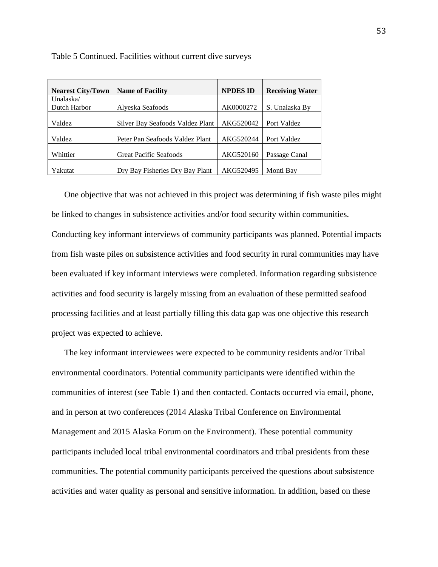| <b>Nearest City/Town</b> | <b>Name of Facility</b>          | <b>NPDES ID</b> | <b>Receiving Water</b> |
|--------------------------|----------------------------------|-----------------|------------------------|
| Unalaska/                |                                  |                 |                        |
| Dutch Harbor             | Alyeska Seafoods                 | AK0000272       | S. Unalaska By         |
|                          |                                  |                 |                        |
| Valdez                   | Silver Bay Seafoods Valdez Plant | AKG520042       | Port Valdez            |
|                          |                                  |                 |                        |
| Valdez                   | Peter Pan Seafoods Valdez Plant  | AKG520244       | Port Valdez            |
|                          |                                  |                 |                        |
| Whittier                 | <b>Great Pacific Seafoods</b>    | AKG520160       | Passage Canal          |
|                          |                                  |                 |                        |
| Yakutat                  | Dry Bay Fisheries Dry Bay Plant  | AKG520495       | Monti Bay              |

Table 5 Continued. Facilities without current dive surveys

One objective that was not achieved in this project was determining if fish waste piles might be linked to changes in subsistence activities and/or food security within communities.

Conducting key informant interviews of community participants was planned. Potential impacts from fish waste piles on subsistence activities and food security in rural communities may have been evaluated if key informant interviews were completed. Information regarding subsistence activities and food security is largely missing from an evaluation of these permitted seafood processing facilities and at least partially filling this data gap was one objective this research project was expected to achieve.

The key informant interviewees were expected to be community residents and/or Tribal environmental coordinators. Potential community participants were identified within the communities of interest (see Table 1) and then contacted. Contacts occurred via email, phone, and in person at two conferences (2014 Alaska Tribal Conference on Environmental Management and 2015 Alaska Forum on the Environment). These potential community participants included local tribal environmental coordinators and tribal presidents from these communities. The potential community participants perceived the questions about subsistence activities and water quality as personal and sensitive information. In addition, based on these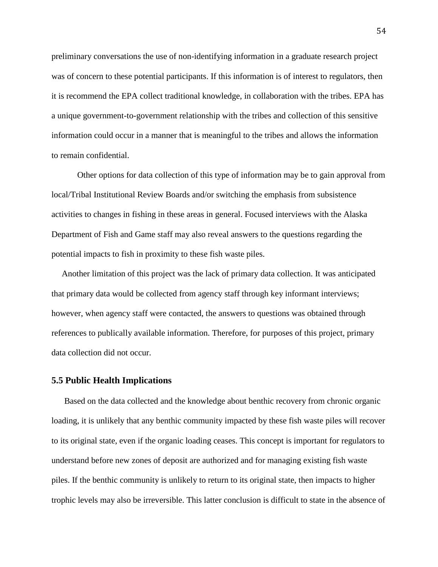preliminary conversations the use of non-identifying information in a graduate research project was of concern to these potential participants. If this information is of interest to regulators, then it is recommend the EPA collect traditional knowledge, in collaboration with the tribes. EPA has a unique government-to-government relationship with the tribes and collection of this sensitive information could occur in a manner that is meaningful to the tribes and allows the information to remain confidential.

Other options for data collection of this type of information may be to gain approval from local/Tribal Institutional Review Boards and/or switching the emphasis from subsistence activities to changes in fishing in these areas in general. Focused interviews with the Alaska Department of Fish and Game staff may also reveal answers to the questions regarding the potential impacts to fish in proximity to these fish waste piles.

Another limitation of this project was the lack of primary data collection. It was anticipated that primary data would be collected from agency staff through key informant interviews; however, when agency staff were contacted, the answers to questions was obtained through references to publically available information. Therefore, for purposes of this project, primary data collection did not occur.

#### **5.5 Public Health Implications**

Based on the data collected and the knowledge about benthic recovery from chronic organic loading, it is unlikely that any benthic community impacted by these fish waste piles will recover to its original state, even if the organic loading ceases. This concept is important for regulators to understand before new zones of deposit are authorized and for managing existing fish waste piles. If the benthic community is unlikely to return to its original state, then impacts to higher trophic levels may also be irreversible. This latter conclusion is difficult to state in the absence of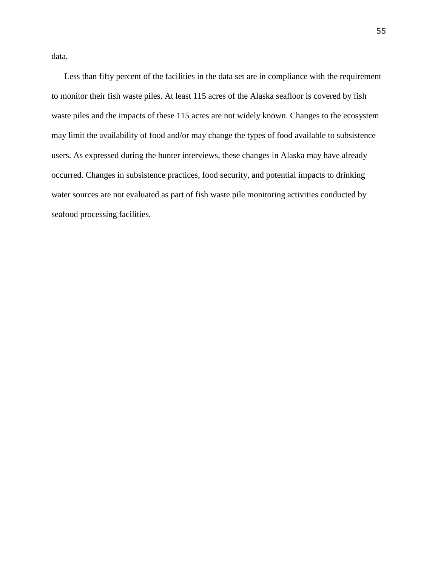data.

Less than fifty percent of the facilities in the data set are in compliance with the requirement to monitor their fish waste piles. At least 115 acres of the Alaska seafloor is covered by fish waste piles and the impacts of these 115 acres are not widely known. Changes to the ecosystem may limit the availability of food and/or may change the types of food available to subsistence users. As expressed during the hunter interviews, these changes in Alaska may have already occurred. Changes in subsistence practices, food security, and potential impacts to drinking water sources are not evaluated as part of fish waste pile monitoring activities conducted by seafood processing facilities.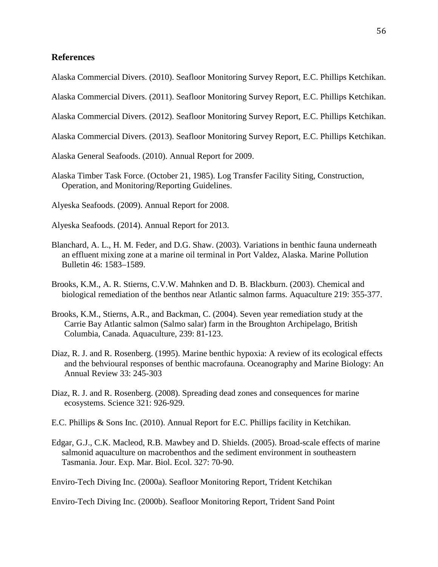# **References**

Alaska Commercial Divers. (2010). Seafloor Monitoring Survey Report, E.C. Phillips Ketchikan.

Alaska Commercial Divers. (2011). Seafloor Monitoring Survey Report, E.C. Phillips Ketchikan.

Alaska Commercial Divers. (2012). Seafloor Monitoring Survey Report, E.C. Phillips Ketchikan.

Alaska Commercial Divers. (2013). Seafloor Monitoring Survey Report, E.C. Phillips Ketchikan.

Alaska General Seafoods. (2010). Annual Report for 2009.

Alaska Timber Task Force. (October 21, 1985). Log Transfer Facility Siting, Construction, Operation, and Monitoring/Reporting Guidelines.

Alyeska Seafoods. (2009). Annual Report for 2008.

Alyeska Seafoods. (2014). Annual Report for 2013.

- Blanchard, A. L., H. M. Feder, and D.G. Shaw. (2003). Variations in benthic fauna underneath an effluent mixing zone at a marine oil terminal in Port Valdez, Alaska. Marine Pollution Bulletin 46: 1583–1589.
- Brooks, K.M., A. R. Stierns, C.V.W. Mahnken and D. B. Blackburn. (2003). Chemical and biological remediation of the benthos near Atlantic salmon farms. Aquaculture 219: 355-377.
- Brooks, K.M., Stierns, A.R., and Backman, C. (2004). Seven year remediation study at the Carrie Bay Atlantic salmon (Salmo salar) farm in the Broughton Archipelago, British Columbia, Canada. Aquaculture, 239: 81-123.
- Diaz, R. J. and R. Rosenberg. (1995). Marine benthic hypoxia: A review of its ecological effects and the behvioural responses of benthic macrofauna. Oceanography and Marine Biology: An Annual Review 33: 245-303
- Diaz, R. J. and R. Rosenberg. (2008). Spreading dead zones and consequences for marine ecosystems. Science 321: 926-929.
- E.C. Phillips & Sons Inc. (2010). Annual Report for E.C. Phillips facility in Ketchikan.
- Edgar, G.J., C.K. Macleod, R.B. Mawbey and D. Shields. (2005). Broad-scale effects of marine salmonid aquaculture on macrobenthos and the sediment environment in southeastern Tasmania. Jour. Exp. Mar. Biol. Ecol. 327: 70-90.

Enviro-Tech Diving Inc. (2000a). Seafloor Monitoring Report, Trident Ketchikan

Enviro-Tech Diving Inc. (2000b). Seafloor Monitoring Report, Trident Sand Point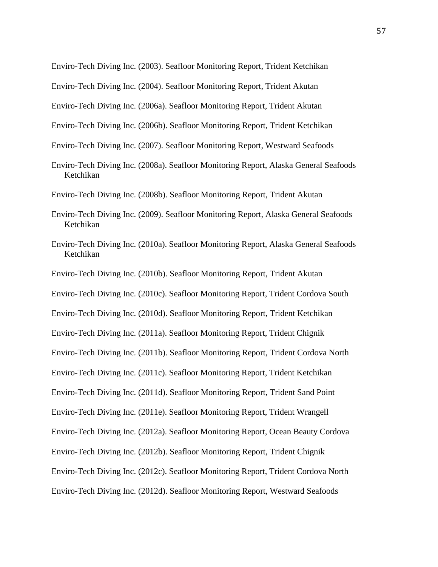Enviro-Tech Diving Inc. (2003). Seafloor Monitoring Report, Trident Ketchikan

Enviro-Tech Diving Inc. (2004). Seafloor Monitoring Report, Trident Akutan

Enviro-Tech Diving Inc. (2006a). Seafloor Monitoring Report, Trident Akutan

Enviro-Tech Diving Inc. (2006b). Seafloor Monitoring Report, Trident Ketchikan

Enviro-Tech Diving Inc. (2007). Seafloor Monitoring Report, Westward Seafoods

Enviro-Tech Diving Inc. (2008a). Seafloor Monitoring Report, Alaska General Seafoods Ketchikan

Enviro-Tech Diving Inc. (2008b). Seafloor Monitoring Report, Trident Akutan

- Enviro-Tech Diving Inc. (2009). Seafloor Monitoring Report, Alaska General Seafoods Ketchikan
- Enviro-Tech Diving Inc. (2010a). Seafloor Monitoring Report, Alaska General Seafoods Ketchikan
- Enviro-Tech Diving Inc. (2010b). Seafloor Monitoring Report, Trident Akutan

Enviro-Tech Diving Inc. (2010c). Seafloor Monitoring Report, Trident Cordova South

Enviro-Tech Diving Inc. (2010d). Seafloor Monitoring Report, Trident Ketchikan

Enviro-Tech Diving Inc. (2011a). Seafloor Monitoring Report, Trident Chignik

Enviro-Tech Diving Inc. (2011b). Seafloor Monitoring Report, Trident Cordova North

Enviro-Tech Diving Inc. (2011c). Seafloor Monitoring Report, Trident Ketchikan

Enviro-Tech Diving Inc. (2011d). Seafloor Monitoring Report, Trident Sand Point

Enviro-Tech Diving Inc. (2011e). Seafloor Monitoring Report, Trident Wrangell

Enviro-Tech Diving Inc. (2012a). Seafloor Monitoring Report, Ocean Beauty Cordova

Enviro-Tech Diving Inc. (2012b). Seafloor Monitoring Report, Trident Chignik

Enviro-Tech Diving Inc. (2012c). Seafloor Monitoring Report, Trident Cordova North

Enviro-Tech Diving Inc. (2012d). Seafloor Monitoring Report, Westward Seafoods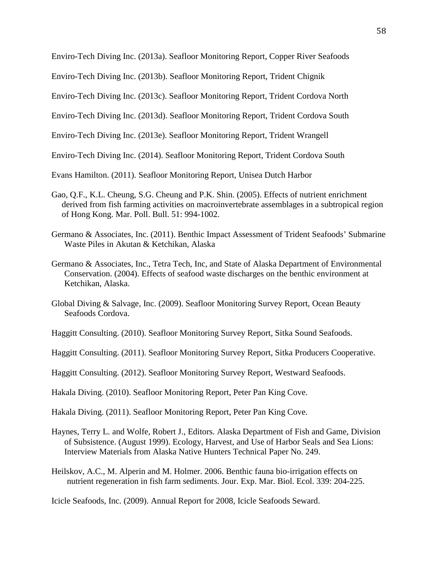Enviro-Tech Diving Inc. (2013a). Seafloor Monitoring Report, Copper River Seafoods

Enviro-Tech Diving Inc. (2013b). Seafloor Monitoring Report, Trident Chignik

Enviro-Tech Diving Inc. (2013c). Seafloor Monitoring Report, Trident Cordova North

Enviro-Tech Diving Inc. (2013d). Seafloor Monitoring Report, Trident Cordova South

Enviro-Tech Diving Inc. (2013e). Seafloor Monitoring Report, Trident Wrangell

Enviro-Tech Diving Inc. (2014). Seafloor Monitoring Report, Trident Cordova South

Evans Hamilton. (2011). Seafloor Monitoring Report, Unisea Dutch Harbor

- Gao, Q.F., K.L. Cheung, S.G. Cheung and P.K. Shin. (2005). Effects of nutrient enrichment derived from fish farming activities on macroinvertebrate assemblages in a subtropical region of Hong Kong. Mar. Poll. Bull. 51: 994-1002.
- Germano & Associates, Inc. (2011). Benthic Impact Assessment of Trident Seafoods' Submarine Waste Piles in Akutan & Ketchikan, Alaska
- Germano & Associates, Inc., Tetra Tech, Inc, and State of Alaska Department of Environmental Conservation. (2004). Effects of seafood waste discharges on the benthic environment at Ketchikan, Alaska.
- Global Diving & Salvage, Inc. (2009). Seafloor Monitoring Survey Report, Ocean Beauty Seafoods Cordova.
- Haggitt Consulting. (2010). Seafloor Monitoring Survey Report, Sitka Sound Seafoods.

Haggitt Consulting. (2011). Seafloor Monitoring Survey Report, Sitka Producers Cooperative.

Haggitt Consulting. (2012). Seafloor Monitoring Survey Report, Westward Seafoods.

Hakala Diving. (2010). Seafloor Monitoring Report, Peter Pan King Cove.

Hakala Diving. (2011). Seafloor Monitoring Report, Peter Pan King Cove.

- Haynes, Terry L. and Wolfe, Robert J., Editors. Alaska Department of Fish and Game, Division of Subsistence. (August 1999). Ecology, Harvest, and Use of Harbor Seals and Sea Lions: Interview Materials from Alaska Native Hunters Technical Paper No. 249.
- Heilskov, A.C., M. Alperin and M. Holmer. 2006. Benthic fauna bio-irrigation effects on nutrient regeneration in fish farm sediments. Jour. Exp. Mar. Biol. Ecol. 339: 204-225.

Icicle Seafoods, Inc. (2009). Annual Report for 2008, Icicle Seafoods Seward.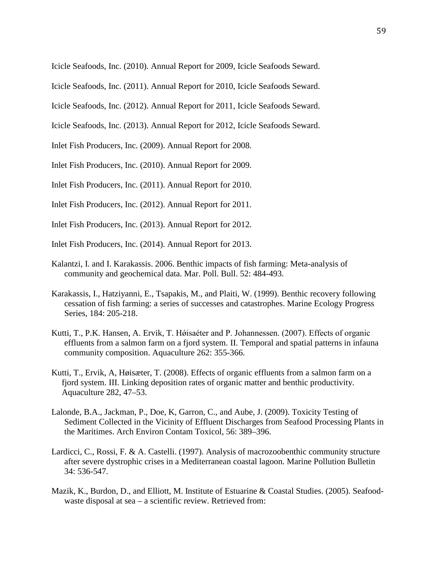Icicle Seafoods, Inc. (2010). Annual Report for 2009, Icicle Seafoods Seward.

Icicle Seafoods, Inc. (2011). Annual Report for 2010, Icicle Seafoods Seward.

Icicle Seafoods, Inc. (2012). Annual Report for 2011, Icicle Seafoods Seward.

Icicle Seafoods, Inc. (2013). Annual Report for 2012, Icicle Seafoods Seward.

Inlet Fish Producers, Inc. (2009). Annual Report for 2008.

Inlet Fish Producers, Inc. (2010). Annual Report for 2009.

Inlet Fish Producers, Inc. (2011). Annual Report for 2010.

Inlet Fish Producers, Inc. (2012). Annual Report for 2011.

Inlet Fish Producers, Inc. (2013). Annual Report for 2012.

Inlet Fish Producers, Inc. (2014). Annual Report for 2013.

- Kalantzi, I. and I. Karakassis. 2006. Benthic impacts of fish farming: Meta-analysis of community and geochemical data. Mar. Poll. Bull. 52: 484-493.
- Karakassis, I., Hatziyanni, E., Tsapakis, M., and Plaiti, W. (1999). Benthic recovery following cessation of fish farming: a series of successes and catastrophes. Marine Ecology Progress Series, 184: 205-218.
- Kutti, T., P.K. Hansen, A. Ervik, T. Høisaéter and P. Johannessen. (2007). Effects of organic effluents from a salmon farm on a fjord system. II. Temporal and spatial patterns in infauna community composition. Aquaculture 262: 355-366.
- Kutti, T., Ervik, A, Høisæter, T. (2008). Effects of organic effluents from a salmon farm on a fjord system. III. Linking deposition rates of organic matter and benthic productivity. Aquaculture 282, 47–53.
- Lalonde, B.A., Jackman, P., Doe, K, Garron, C., and Aube, J. (2009). Toxicity Testing of Sediment Collected in the Vicinity of Effluent Discharges from Seafood Processing Plants in the Maritimes. Arch Environ Contam Toxicol, 56: 389–396.
- Lardicci, C., Rossi, F. & A. Castelli. (1997). Analysis of macrozoobenthic community structure after severe dystrophic crises in a Mediterranean coastal lagoon. Marine Pollution Bulletin 34: 536-547.
- Mazik, K., Burdon, D., and Elliott, M. Institute of Estuarine & Coastal Studies. (2005). Seafoodwaste disposal at sea – a scientific review. Retrieved from: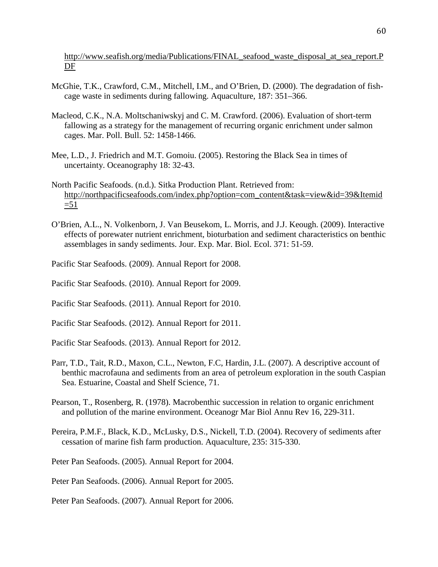http://www.seafish.org/media/Publications/FINAL seafood waste disposal at sea report.P [DF](http://www.seafish.org/media/Publications/FINAL_seafood_waste_disposal_at_sea_report.PDF)

- McGhie, T.K., Crawford, C.M., Mitchell, I.M., and O'Brien, D. (2000). The degradation of fishcage waste in sediments during fallowing. Aquaculture, 187: 351–366.
- Macleod, C.K., N.A. Moltschaniwskyj and C. M. Crawford. (2006). Evaluation of short-term fallowing as a strategy for the management of recurring organic enrichment under salmon cages. Mar. Poll. Bull. 52: 1458-1466.
- Mee, L.D., J. Friedrich and M.T. Gomoiu. (2005). Restoring the Black Sea in times of uncertainty. Oceanography 18: 32-43.
- North Pacific Seafoods. (n.d.). Sitka Production Plant. Retrieved from: [http://northpacificseafoods.com/index.php?option=com\\_content&task=view&id=39&Itemid](http://northpacificseafoods.com/index.php?option=com_content&task=view&id=39&Itemid=51)  $=51$
- O'Brien, A.L., N. Volkenborn, J. Van Beusekom, L. Morris, and J.J. Keough. (2009). Interactive effects of porewater nutrient enrichment, bioturbation and sediment characteristics on benthic assemblages in sandy sediments. Jour. Exp. Mar. Biol. Ecol. 371: 51-59.
- Pacific Star Seafoods. (2009). Annual Report for 2008.
- Pacific Star Seafoods. (2010). Annual Report for 2009.
- Pacific Star Seafoods. (2011). Annual Report for 2010.
- Pacific Star Seafoods. (2012). Annual Report for 2011.
- Pacific Star Seafoods. (2013). Annual Report for 2012.
- Parr, T.D., Tait, R.D., Maxon, C.L., Newton, F.C, Hardin, J.L. (2007). A descriptive account of benthic macrofauna and sediments from an area of petroleum exploration in the south Caspian Sea. Estuarine, Coastal and Shelf Science, 71.
- Pearson, T., Rosenberg, R. (1978). Macrobenthic succession in relation to organic enrichment and pollution of the marine environment. Oceanogr Mar Biol Annu Rev 16, 229-311.
- Pereira, P.M.F., Black, K.D., McLusky, D.S., Nickell, T.D. (2004). Recovery of sediments after cessation of marine fish farm production. Aquaculture, 235: 315-330.

Peter Pan Seafoods. (2005). Annual Report for 2004.

Peter Pan Seafoods. (2006). Annual Report for 2005.

Peter Pan Seafoods. (2007). Annual Report for 2006.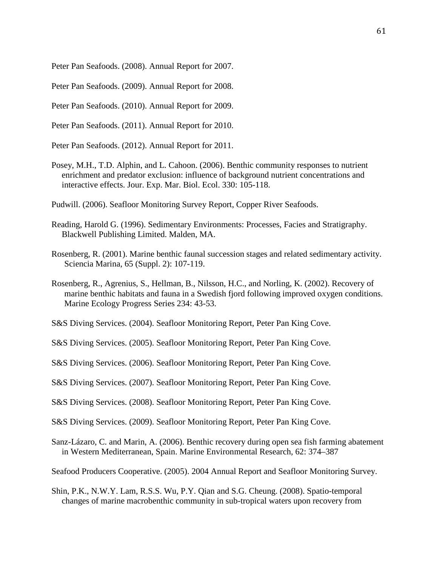Peter Pan Seafoods. (2008). Annual Report for 2007.

Peter Pan Seafoods. (2009). Annual Report for 2008.

Peter Pan Seafoods. (2010). Annual Report for 2009.

Peter Pan Seafoods. (2011). Annual Report for 2010.

Peter Pan Seafoods. (2012). Annual Report for 2011.

Posey, M.H., T.D. Alphin, and L. Cahoon. (2006). Benthic community responses to nutrient enrichment and predator exclusion: influence of background nutrient concentrations and interactive effects. Jour. Exp. Mar. Biol. Ecol. 330: 105-118.

Pudwill. (2006). Seafloor Monitoring Survey Report, Copper River Seafoods.

- Reading, Harold G. (1996). Sedimentary Environments: Processes, Facies and Stratigraphy. Blackwell Publishing Limited. Malden, MA.
- Rosenberg, R. (2001). Marine benthic faunal succession stages and related sedimentary activity. Sciencia Marina, 65 (Suppl. 2): 107-119.
- Rosenberg, R., Agrenius, S., Hellman, B., Nilsson, H.C., and Norling, K. (2002). Recovery of marine benthic habitats and fauna in a Swedish fjord following improved oxygen conditions. Marine Ecology Progress Series 234: 43-53.

S&S Diving Services. (2004). Seafloor Monitoring Report, Peter Pan King Cove.

S&S Diving Services. (2005). Seafloor Monitoring Report, Peter Pan King Cove.

S&S Diving Services. (2006). Seafloor Monitoring Report, Peter Pan King Cove.

S&S Diving Services. (2007). Seafloor Monitoring Report, Peter Pan King Cove.

S&S Diving Services. (2008). Seafloor Monitoring Report, Peter Pan King Cove.

S&S Diving Services. (2009). Seafloor Monitoring Report, Peter Pan King Cove.

Sanz-Lázaro, C. and Marin, A. (2006). Benthic recovery during open sea fish farming abatement in Western Mediterranean, Spain. Marine Environmental Research, 62: 374–387

Seafood Producers Cooperative. (2005). 2004 Annual Report and Seafloor Monitoring Survey.

Shin, P.K., N.W.Y. Lam, R.S.S. Wu, P.Y. Qian and S.G. Cheung. (2008). Spatio-temporal changes of marine macrobenthic community in sub-tropical waters upon recovery from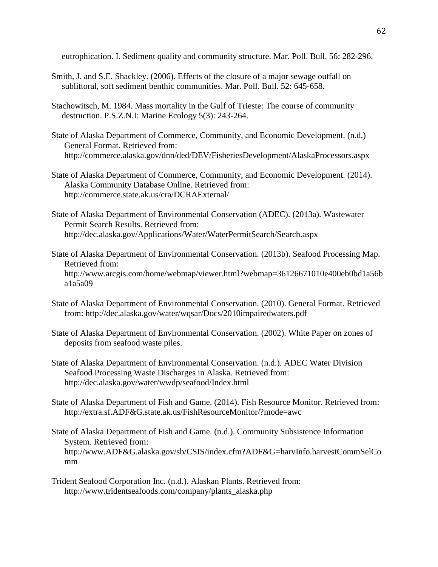eutrophication. I. Sediment quality and community structure. Mar. Poll. Bull. 56: 282-296.

- Smith, J. and S.E. Shackley. (2006). Effects of the closure of a major sewage outfall on sublittoral, soft sediment benthic communities. Mar. Poll. Bull. 52: 645-658.
- Stachowitsch, M. 1984. Mass mortality in the Gulf of Trieste: The course of community destruction. P.S.Z.N.I: Marine Ecology 5(3): 243-264.
- State of Alaska Department of Commerce, Community, and Economic Development. (n.d.) General Format. Retrieved from: http://commerce.alaska.gov/dnn/ded/DEV/FisheriesDevelopment/AlaskaProcessors.aspx
- State of Alaska Department of Commerce, Community, and Economic Development. (2014). Alaska Community Database Online. Retrieved from: http://commerce.state.ak.us/cra/DCRAExternal/
- State of Alaska Department of Environmental Conservation (ADEC). (2013a). Wastewater Permit Search Results. Retrieved from: http://dec.alaska.gov/Applications/Water/WaterPermitSearch/Search.aspx
- State of Alaska Department of Environmental Conservation. (2013b). Seafood Processing Map. Retrieved from: http://www.arcgis.com/home/webmap/viewer.html?webmap=36126671010e400eb0bd1a56b a1a5a09
- State of Alaska Department of Environmental Conservation. (2010). General Format. Retrieved from: http://dec.alaska.gov/water/wqsar/Docs/2010impairedwaters.pdf
- State of Alaska Department of Environmental Conservation. (2002). White Paper on zones of deposits from seafood waste piles.
- State of Alaska Department of Environmental Conservation. (n.d.). ADEC Water Division Seafood Processing Waste Discharges in Alaska. Retrieved from: http://dec.alaska.gov/water/wwdp/seafood/Index.html
- State of Alaska Department of Fish and Game. (2014). Fish Resource Monitor. Retrieved from: http://extra.sf.ADF&G.state.ak.us/FishResourceMonitor/?mode=awc
- State of Alaska Department of Fish and Game. (n.d.). Community Subsistence Information System. Retrieved from: http://www.ADF&G.alaska.gov/sb/CSIS/index.cfm?ADF&G=harvInfo.harvestCommSelCo mm
- Trident Seafood Corporation Inc. (n.d.). Alaskan Plants. Retrieved from: http://www.tridentseafoods.com/company/plants\_alaska.php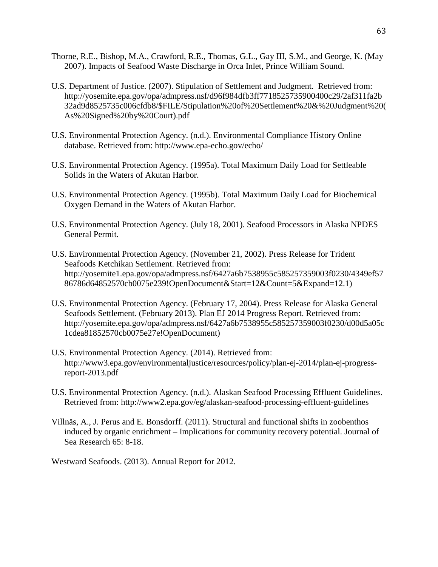- Thorne, R.E., Bishop, M.A., Crawford, R.E., Thomas, G.L., Gay III, S.M., and George, K. (May 2007). Impacts of Seafood Waste Discharge in Orca Inlet, Prince William Sound.
- U.S. Department of Justice. (2007). Stipulation of Settlement and Judgment. Retrieved from: http://yosemite.epa.gov/opa/admpress.nsf/d96f984dfb3ff7718525735900400c29/2af311fa2b 32ad9d8525735c006cfdb8/\$FILE/Stipulation%20of%20Settlement%20&%20Judgment%20( As%20Signed%20by%20Court).pdf
- U.S. Environmental Protection Agency. (n.d.). Environmental Compliance History Online database. Retrieved from: http://www.epa-echo.gov/echo/
- U.S. Environmental Protection Agency. (1995a). Total Maximum Daily Load for Settleable Solids in the Waters of Akutan Harbor.
- U.S. Environmental Protection Agency. (1995b). Total Maximum Daily Load for Biochemical Oxygen Demand in the Waters of Akutan Harbor.
- U.S. Environmental Protection Agency. (July 18, 2001). Seafood Processors in Alaska NPDES General Permit.
- U.S. Environmental Protection Agency. (November 21, 2002). Press Release for Trident Seafoods Ketchikan Settlement. Retrieved from: http://yosemite1.epa.gov/opa/admpress.nsf/6427a6b7538955c585257359003f0230/4349ef57 86786d64852570cb0075e239!OpenDocument&Start=12&Count=5&Expand=12.1)
- U.S. Environmental Protection Agency. (February 17, 2004). Press Release for Alaska General Seafoods Settlement. (February 2013). Plan EJ 2014 Progress Report. Retrieved from: http://yosemite.epa.gov/opa/admpress.nsf/6427a6b7538955c585257359003f0230/d00d5a05c 1cdea81852570cb0075e27e!OpenDocument)
- U.S. Environmental Protection Agency. (2014). Retrieved from: http://www3.epa.gov/environmentaljustice/resources/policy/plan-ej-2014/plan-ej-progressreport-2013.pdf
- U.S. Environmental Protection Agency. (n.d.). Alaskan Seafood Processing Effluent Guidelines. Retrieved from: http://www2.epa.gov/eg/alaskan-seafood-processing-effluent-guidelines
- Villnäs, A., J. Perus and E. Bonsdorff. (2011). Structural and functional shifts in zoobenthos induced by organic enrichment – Implications for community recovery potential. Journal of Sea Research 65: 8-18.

Westward Seafoods. (2013). Annual Report for 2012.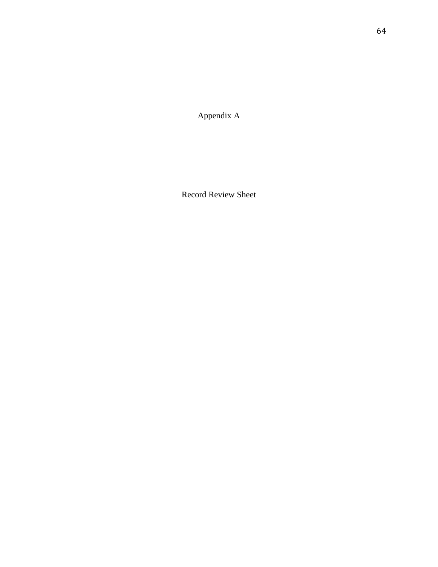Appendix A

Record Review Sheet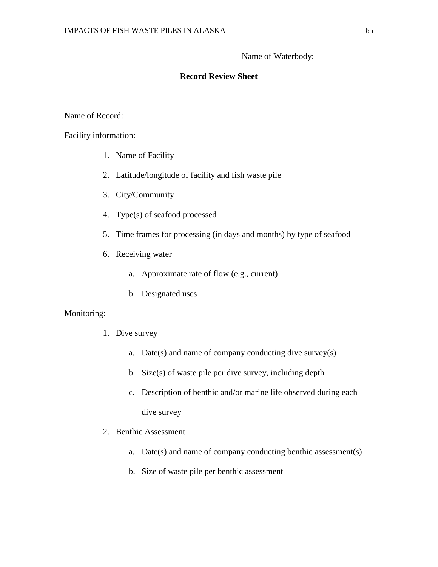# Name of Waterbody:

# **Record Review Sheet**

Name of Record:

Facility information:

- 1. Name of Facility
- 2. Latitude/longitude of facility and fish waste pile
- 3. City/Community
- 4. Type(s) of seafood processed
- 5. Time frames for processing (in days and months) by type of seafood
- 6. Receiving water
	- a. Approximate rate of flow (e.g., current)
	- b. Designated uses

## Monitoring:

- 1. Dive survey
	- a. Date(s) and name of company conducting dive survey(s)
	- b. Size(s) of waste pile per dive survey, including depth
	- c. Description of benthic and/or marine life observed during each dive survey
- 2. Benthic Assessment
	- a. Date(s) and name of company conducting benthic assessment(s)
	- b. Size of waste pile per benthic assessment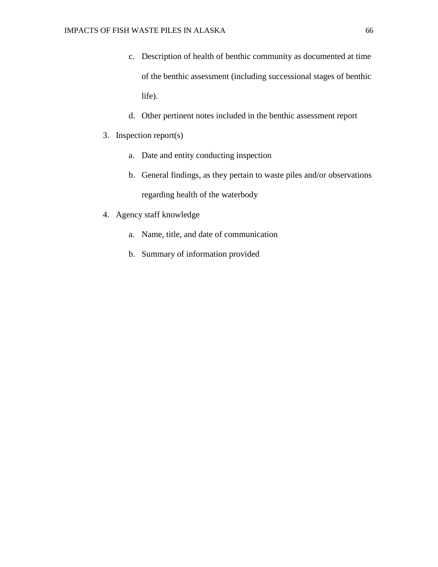- c. Description of health of benthic community as documented at time of the benthic assessment (including successional stages of benthic life).
- d. Other pertinent notes included in the benthic assessment report
- 3. Inspection report(s)
	- a. Date and entity conducting inspection
	- b. General findings, as they pertain to waste piles and/or observations regarding health of the waterbody
- 4. Agency staff knowledge
	- a. Name, title, and date of communication
	- b. Summary of information provided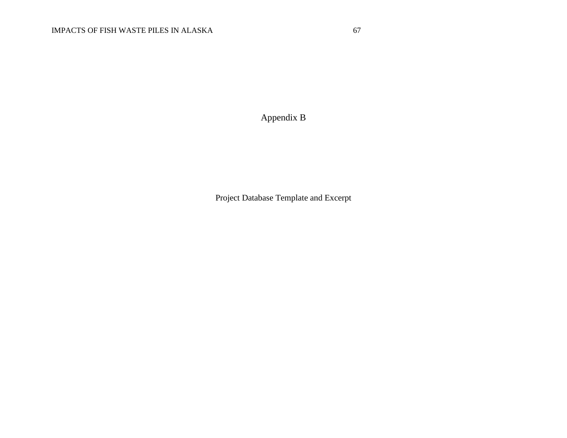Appendix B

Project Database Template and Excerpt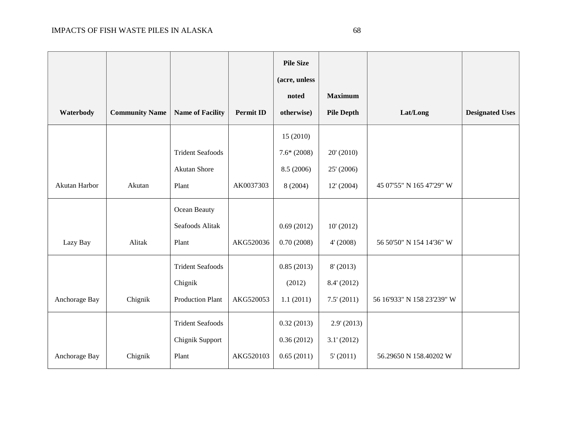|               |                       |                         |                  | <b>Pile Size</b><br>(acre, unless |                   |                            |                        |
|---------------|-----------------------|-------------------------|------------------|-----------------------------------|-------------------|----------------------------|------------------------|
|               |                       |                         |                  | noted                             | <b>Maximum</b>    |                            |                        |
| Waterbody     | <b>Community Name</b> | <b>Name of Facility</b> | <b>Permit ID</b> | otherwise)                        | <b>Pile Depth</b> | Lat/Long                   | <b>Designated Uses</b> |
|               |                       |                         |                  | 15(2010)                          |                   |                            |                        |
|               |                       | <b>Trident Seafoods</b> |                  | $7.6*(2008)$                      | 20' (2010)        |                            |                        |
|               |                       | <b>Akutan Shore</b>     |                  | 8.5 (2006)                        | 25' (2006)        |                            |                        |
| Akutan Harbor | Akutan                | Plant                   | AK0037303        | 8(2004)                           | 12' (2004)        | 45 07'55" N 165 47'29" W   |                        |
|               |                       | Ocean Beauty            |                  |                                   |                   |                            |                        |
|               |                       | Seafoods Alitak         |                  | 0.69(2012)                        | 10' (2012)        |                            |                        |
| Lazy Bay      | Alitak                | Plant                   | AKG520036        | 0.70(2008)                        | 4' (2008)         | 56 50'50" N 154 14'36" W   |                        |
|               |                       | <b>Trident Seafoods</b> |                  | 0.85(2013)                        | 8' (2013)         |                            |                        |
|               |                       | Chignik                 |                  | (2012)                            | 8.4' (2012)       |                            |                        |
| Anchorage Bay | Chignik               | <b>Production Plant</b> | AKG520053        | 1.1(2011)                         | 7.5' (2011)       | 56 16'933" N 158 23'239" W |                        |
|               |                       | <b>Trident Seafoods</b> |                  | 0.32(2013)                        | 2.9' (2013)       |                            |                        |
|               |                       | Chignik Support         |                  | 0.36(2012)                        | 3.1' (2012)       |                            |                        |
| Anchorage Bay | Chignik               | Plant                   | AKG520103        | 0.65(2011)                        | 5' (2011)         | 56.29650 N 158.40202 W     |                        |